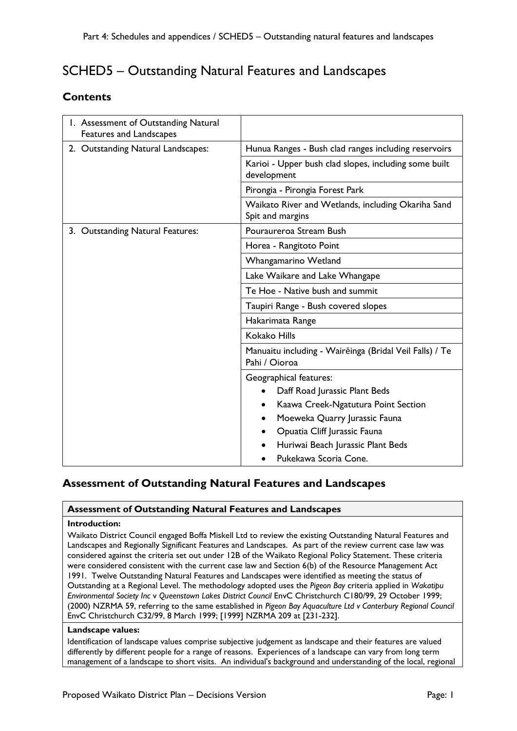# SCHED5 – Outstanding Natural Features and Landscapes

## **Contents**

| 1. Assessment of Outstanding Natural<br>Features and Landscapes |                                                                          |
|-----------------------------------------------------------------|--------------------------------------------------------------------------|
| 2. Outstanding Natural Landscapes:                              | Hunua Ranges - Bush clad ranges including reservoirs                     |
|                                                                 | Karioi - Upper bush clad slopes, including some built<br>development     |
|                                                                 | Pirongia - Pirongia Forest Park                                          |
|                                                                 | Waikato River and Wetlands, including Okariha Sand<br>Spit and margins   |
| 3. Outstanding Natural Features:                                | Pouraureroa Stream Bush                                                  |
|                                                                 | Horea - Rangitoto Point                                                  |
|                                                                 | Whangamarino Wetland                                                     |
|                                                                 | Lake Waikare and Lake Whangape                                           |
|                                                                 | Te Hoe - Native bush and summit                                          |
|                                                                 | Taupiri Range - Bush covered slopes                                      |
|                                                                 | Hakarimata Range                                                         |
|                                                                 | <b>Kokako Hills</b>                                                      |
|                                                                 | Manuaitu including - Waireinga (Bridal Veil Falls) / Te<br>Pahi / Oioroa |
|                                                                 | Geographical features:                                                   |
|                                                                 | Daff Road Jurassic Plant Beds                                            |
|                                                                 | Kaawa Creek-Ngatutura Point Section                                      |
|                                                                 | Moeweka Quarry Jurassic Fauna                                            |
|                                                                 | Opuatia Cliff Jurassic Fauna                                             |
|                                                                 | Huriwai Beach Jurassic Plant Beds                                        |
|                                                                 | Pukekawa Scoria Cone.                                                    |

## **Assessment of Outstanding Natural Features and Landscapes**

### **Assessment of Outstanding Natural Features and Landscapes**

### **Introduction:**

Waikato District Council engaged Boffa Miskell Ltd to review the existing Outstanding Natural Features and Landscapes and Regionally Significant Features and Landscapes. As part of the review current case law was considered against the criteria set out under 12B of the Waikato Regional Policy Statement. These criteria were considered consistent with the current case law and Section 6(b) of the Resource Management Act 1991. Twelve Outstanding Natural Features and Landscapes were identified as meeting the status of Outstanding at a Regional Level. The methodology adopted uses the *Pigeon Bay* criteria applied in *Wakatipu Environmental Society Inc* v *Queenstown Lakes District Council* EnvC Christchurch C180/99, 29 October 1999; (2000) NZRMA 59, referring to the same established in *Pigeon Bay Aquaculture Ltd v Canterbury Regional Council* EnvC Christchurch C32/99, 8 March 1999; [1999] NZRMA 209 at [231-232].

### **Landscape values:**

Identification of landscape values comprise subjective judgement as landscape and their features are valued differently by different people for a range of reasons. Experiences of a landscape can vary from long term management of a landscape to short visits. An individual's background and understanding of the local, regional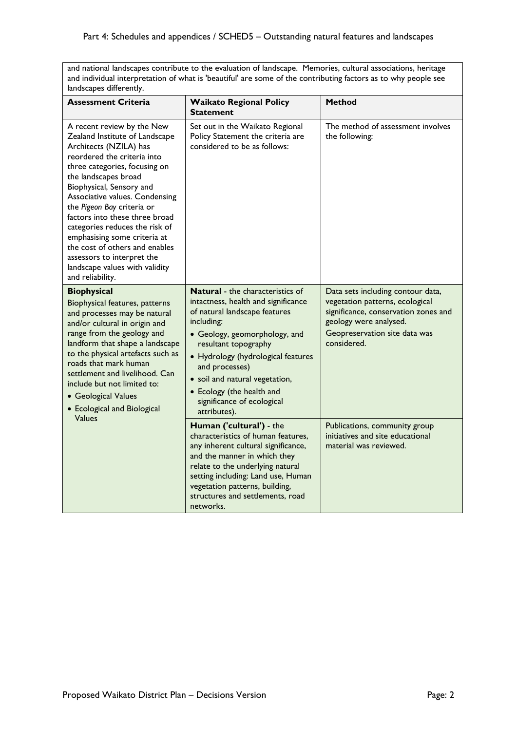and national landscapes contribute to the evaluation of landscape. Memories, cultural associations, heritage and individual interpretation of what is 'beautiful' are some of the contributing factors as to why people see landscapes differently.

| <b>Assessment Criteria</b>                                                                                                                                                                                                                                                                                                                                                                                                                                                                           | <b>Waikato Regional Policy</b><br><b>Statement</b>                                                                                                                                                                                                                                                                                                          | <b>Method</b>                                                                                                                                                                          |
|------------------------------------------------------------------------------------------------------------------------------------------------------------------------------------------------------------------------------------------------------------------------------------------------------------------------------------------------------------------------------------------------------------------------------------------------------------------------------------------------------|-------------------------------------------------------------------------------------------------------------------------------------------------------------------------------------------------------------------------------------------------------------------------------------------------------------------------------------------------------------|----------------------------------------------------------------------------------------------------------------------------------------------------------------------------------------|
| A recent review by the New<br>Zealand Institute of Landscape<br>Architects (NZILA) has<br>reordered the criteria into<br>three categories, focusing on<br>the landscapes broad<br>Biophysical, Sensory and<br>Associative values. Condensing<br>the Pigeon Bay criteria or<br>factors into these three broad<br>categories reduces the risk of<br>emphasising some criteria at<br>the cost of others and enables<br>assessors to interpret the<br>landscape values with validity<br>and reliability. | Set out in the Waikato Regional<br>Policy Statement the criteria are<br>considered to be as follows:                                                                                                                                                                                                                                                        | The method of assessment involves<br>the following:                                                                                                                                    |
| <b>Biophysical</b><br><b>Biophysical features, patterns</b><br>and processes may be natural<br>and/or cultural in origin and<br>range from the geology and<br>landform that shape a landscape<br>to the physical artefacts such as<br>roads that mark human<br>settlement and livelihood. Can<br>include but not limited to:<br>• Geological Values<br>• Ecological and Biological                                                                                                                   | <b>Natural</b> - the characteristics of<br>intactness, health and significance<br>of natural landscape features<br>including:<br>• Geology, geomorphology, and<br>resultant topography<br>• Hydrology (hydrological features<br>and processes)<br>· soil and natural vegetation,<br>• Ecology (the health and<br>significance of ecological<br>attributes). | Data sets including contour data,<br>vegetation patterns, ecological<br>significance, conservation zones and<br>geology were analysed.<br>Geopreservation site data was<br>considered. |
| Values                                                                                                                                                                                                                                                                                                                                                                                                                                                                                               | Human ('cultural') - the<br>characteristics of human features,<br>any inherent cultural significance,<br>and the manner in which they<br>relate to the underlying natural<br>setting including: Land use, Human<br>vegetation patterns, building,<br>structures and settlements, road<br>networks.                                                          | Publications, community group<br>initiatives and site educational<br>material was reviewed.                                                                                            |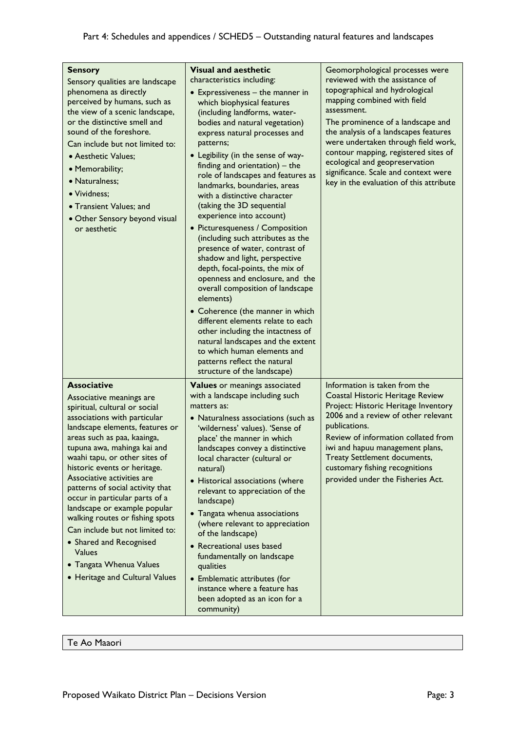| <b>Sensory</b><br>Sensory qualities are landscape<br>phenomena as directly<br>perceived by humans, such as<br>the view of a scenic landscape,<br>or the distinctive smell and<br>sound of the foreshore.<br>Can include but not limited to:<br>• Aesthetic Values;<br>· Memorability;<br>· Naturalness;<br>• Vividness;<br>• Transient Values; and<br>• Other Sensory beyond visual<br>or aesthetic                                                                                                                                                                                                  | <b>Visual and aesthetic</b><br>characteristics including:<br>$\bullet$ Expressiveness - the manner in<br>which biophysical features<br>(including landforms, water-<br>bodies and natural vegetation)<br>express natural processes and<br>patterns;<br>• Legibility (in the sense of way-<br>finding and orientation) $-$ the<br>role of landscapes and features as<br>landmarks, boundaries, areas<br>with a distinctive character<br>(taking the 3D sequential<br>experience into account)<br>• Picturesqueness / Composition<br>(including such attributes as the<br>presence of water, contrast of<br>shadow and light, perspective<br>depth, focal-points, the mix of<br>openness and enclosure, and the<br>overall composition of landscape<br>elements)<br>• Coherence (the manner in which<br>different elements relate to each<br>other including the intactness of<br>natural landscapes and the extent<br>to which human elements and<br>patterns reflect the natural<br>structure of the landscape) | Geomorphological processes were<br>reviewed with the assistance of<br>topographical and hydrological<br>mapping combined with field<br>assessment.<br>The prominence of a landscape and<br>the analysis of a landscapes features<br>were undertaken through field work,<br>contour mapping, registered sites of<br>ecological and geopreservation<br>significance. Scale and context were<br>key in the evaluation of this attribute |
|------------------------------------------------------------------------------------------------------------------------------------------------------------------------------------------------------------------------------------------------------------------------------------------------------------------------------------------------------------------------------------------------------------------------------------------------------------------------------------------------------------------------------------------------------------------------------------------------------|-----------------------------------------------------------------------------------------------------------------------------------------------------------------------------------------------------------------------------------------------------------------------------------------------------------------------------------------------------------------------------------------------------------------------------------------------------------------------------------------------------------------------------------------------------------------------------------------------------------------------------------------------------------------------------------------------------------------------------------------------------------------------------------------------------------------------------------------------------------------------------------------------------------------------------------------------------------------------------------------------------------------|--------------------------------------------------------------------------------------------------------------------------------------------------------------------------------------------------------------------------------------------------------------------------------------------------------------------------------------------------------------------------------------------------------------------------------------|
| <b>Associative</b><br>Associative meanings are<br>spiritual, cultural or social<br>associations with particular<br>landscape elements, features or<br>areas such as paa, kaainga,<br>tupuna awa, mahinga kai and<br>waahi tapu, or other sites of<br>historic events or heritage.<br>Associative activities are<br>patterns of social activity that<br>occur in particular parts of a<br>landscape or example popular<br>walking routes or fishing spots<br>Can include but not limited to:<br>• Shared and Recognised<br><b>Values</b><br>• Tangata Whenua Values<br>• Heritage and Cultural Values | <b>Values</b> or meanings associated<br>with a landscape including such<br>matters as:<br>• Naturalness associations (such as<br>'wilderness' values). 'Sense of<br>place' the manner in which<br>landscapes convey a distinctive<br>local character (cultural or<br>natural)<br>• Historical associations (where<br>relevant to appreciation of the<br>landscape)<br>• Tangata whenua associations<br>(where relevant to appreciation<br>of the landscape)<br>• Recreational uses based<br>fundamentally on landscape<br>qualities<br>• Emblematic attributes (for<br>instance where a feature has<br>been adopted as an icon for a<br>community)                                                                                                                                                                                                                                                                                                                                                              | Information is taken from the<br>Coastal Historic Heritage Review<br>Project: Historic Heritage Inventory<br>2006 and a review of other relevant<br>publications.<br>Review of information collated from<br>iwi and hapuu management plans,<br><b>Treaty Settlement documents,</b><br>customary fishing recognitions<br>provided under the Fisheries Act.                                                                            |

Te Ao Maaori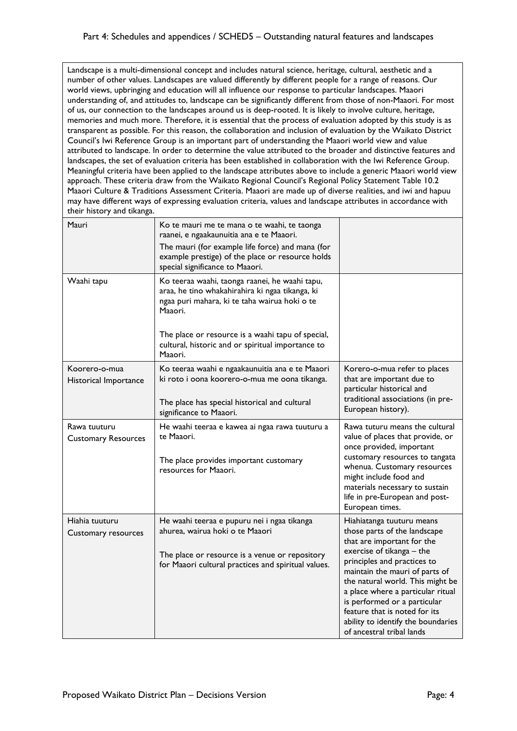Landscape is a multi-dimensional concept and includes natural science, heritage, cultural, aesthetic and a number of other values. Landscapes are valued differently by different people for a range of reasons. Our world views, upbringing and education will all influence our response to particular landscapes. Maaori understanding of, and attitudes to, landscape can be significantly different from those of non-Maaori. For most of us, our connection to the landscapes around us is deep-rooted. It is likely to involve culture, heritage, memories and much more. Therefore, it is essential that the process of evaluation adopted by this study is as transparent as possible. For this reason, the collaboration and inclusion of evaluation by the Waikato District Council's Iwi Reference Group is an important part of understanding the Maaori world view and value attributed to landscape. In order to determine the value attributed to the broader and distinctive features and landscapes, the set of evaluation criteria has been established in collaboration with the Iwi Reference Group. Meaningful criteria have been applied to the landscape attributes above to include a generic Maaori world view approach. These criteria draw from the Waikato Regional Council's Regional Policy Statement Table 10.2 Maaori Culture & Traditions Assessment Criteria. Maaori are made up of diverse realities, and iwi and hapuu may have different ways of expressing evaluation criteria, values and landscape attributes in accordance with their history and tikanga.

| Mauri                                      | Ko te mauri me te mana o te waahi, te taonga<br>raanei, e ngaakaunuitia ana e te Maaori.<br>The mauri (for example life force) and mana (for<br>example prestige) of the place or resource holds<br>special significance to Maaori.                                                |                                                                                                                                                                                                                                                                                                                                                                                                    |
|--------------------------------------------|------------------------------------------------------------------------------------------------------------------------------------------------------------------------------------------------------------------------------------------------------------------------------------|----------------------------------------------------------------------------------------------------------------------------------------------------------------------------------------------------------------------------------------------------------------------------------------------------------------------------------------------------------------------------------------------------|
| Waahi tapu                                 | Ko teeraa waahi, taonga raanei, he waahi tapu,<br>araa, he tino whakahirahira ki ngaa tikanga, ki<br>ngaa puri mahara, ki te taha wairua hoki o te<br>Maaori.<br>The place or resource is a waahi tapu of special,<br>cultural, historic and or spiritual importance to<br>Maaori. |                                                                                                                                                                                                                                                                                                                                                                                                    |
| Koorero-o-mua<br>Historical Importance     | Ko teeraa waahi e ngaakaunuitia ana e te Maaori<br>ki roto i oona koorero-o-mua me oona tikanga.<br>The place has special historical and cultural<br>significance to Maaori.                                                                                                       | Korero-o-mua refer to places<br>that are important due to<br>particular historical and<br>traditional associations (in pre-<br>European history).                                                                                                                                                                                                                                                  |
| Rawa tuuturu<br><b>Customary Resources</b> | He waahi teeraa e kawea ai ngaa rawa tuuturu a<br>te Maaori.<br>The place provides important customary<br>resources for Maaori.                                                                                                                                                    | Rawa tuturu means the cultural<br>value of places that provide, or<br>once provided, important<br>customary resources to tangata<br>whenua. Customary resources<br>might include food and<br>materials necessary to sustain<br>life in pre-European and post-<br>European times.                                                                                                                   |
| Hiahia tuuturu<br>Customary resources      | He waahi teeraa e pupuru nei i ngaa tikanga<br>ahurea, wairua hoki o te Maaori<br>The place or resource is a venue or repository<br>for Maaori cultural practices and spiritual values.                                                                                            | Hiahiatanga tuuturu means<br>those parts of the landscape<br>that are important for the<br>exercise of tikanga - the<br>principles and practices to<br>maintain the mauri of parts of<br>the natural world. This might be<br>a place where a particular ritual<br>is performed or a particular<br>feature that is noted for its<br>ability to identify the boundaries<br>of ancestral tribal lands |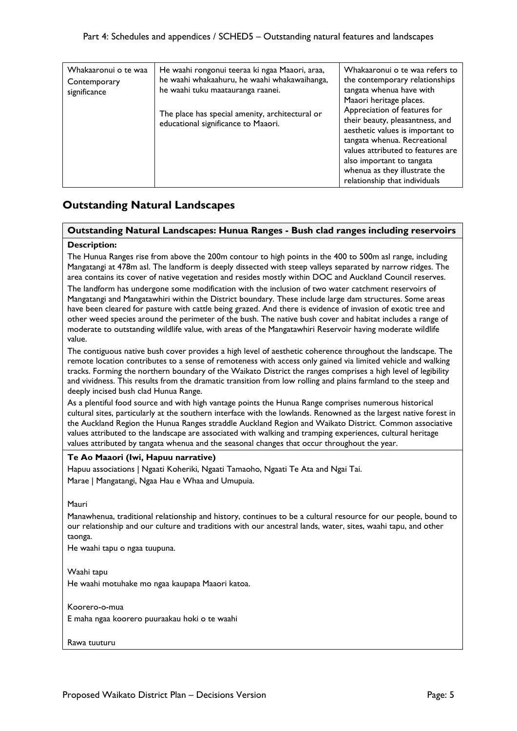| Whakaaronui o te waa | He waahi rongonui teeraa ki ngaa Maaori, araa,                                         | Whakaaronui o te waa refers to                                                                                                                                                                                                                                                                     |
|----------------------|----------------------------------------------------------------------------------------|----------------------------------------------------------------------------------------------------------------------------------------------------------------------------------------------------------------------------------------------------------------------------------------------------|
| Contemporary         | he waahi whakaahuru, he waahi whakawaihanga,                                           | the contemporary relationships                                                                                                                                                                                                                                                                     |
| significance         | he waahi tuku maatauranga raanei.                                                      | tangata whenua have with                                                                                                                                                                                                                                                                           |
|                      | The place has special amenity, architectural or<br>educational significance to Maaori. | Maaori heritage places.<br>Appreciation of features for<br>their beauty, pleasantness, and<br>aesthetic values is important to<br>tangata whenua. Recreational<br>values attributed to features are<br>also important to tangata<br>whenua as they illustrate the<br>relationship that individuals |

## **Outstanding Natural Landscapes**

### **Outstanding Natural Landscapes: Hunua Ranges - Bush clad ranges including reservoirs**

### **Description:**

The Hunua Ranges rise from above the 200m contour to high points in the 400 to 500m asl range, including Mangatangi at 478m asl. The landform is deeply dissected with steep valleys separated by narrow ridges. The area contains its cover of native vegetation and resides mostly within DOC and Auckland Council reserves.

The landform has undergone some modification with the inclusion of two water catchment reservoirs of Mangatangi and Mangatawhiri within the District boundary. These include large dam structures. Some areas have been cleared for pasture with cattle being grazed. And there is evidence of invasion of exotic tree and other weed species around the perimeter of the bush. The native bush cover and habitat includes a range of moderate to outstanding wildlife value, with areas of the Mangatawhiri Reservoir having moderate wildlife value.

The contiguous native bush cover provides a high level of aesthetic coherence throughout the landscape. The remote location contributes to a sense of remoteness with access only gained via limited vehicle and walking tracks. Forming the northern boundary of the Waikato District the ranges comprises a high level of legibility and vividness. This results from the dramatic transition from low rolling and plains farmland to the steep and deeply incised bush clad Hunua Range.

As a plentiful food source and with high vantage points the Hunua Range comprises numerous historical cultural sites, particularly at the southern interface with the lowlands. Renowned as the largest native forest in the Auckland Region the Hunua Ranges straddle Auckland Region and Waikato District. Common associative values attributed to the landscape are associated with walking and tramping experiences, cultural heritage values attributed by tangata whenua and the seasonal changes that occur throughout the year.

### **Te Ao Maaori (Iwi, Hapuu narrative)**

Hapuu associations | Ngaati Koheriki, Ngaati Tamaoho, Ngaati Te Ata and Ngai Tai. Marae | Mangatangi, Ngaa Hau e Whaa and Umupuia.

### Mauri

Manawhenua, traditional relationship and history, continues to be a cultural resource for our people, bound to our relationship and our culture and traditions with our ancestral lands, water, sites, waahi tapu, and other taonga.

He waahi tapu o ngaa tuupuna.

### Waahi tapu

He waahi motuhake mo ngaa kaupapa Maaori katoa.

Koorero-o-mua

E maha ngaa koorero puuraakau hoki o te waahi

Rawa tuuturu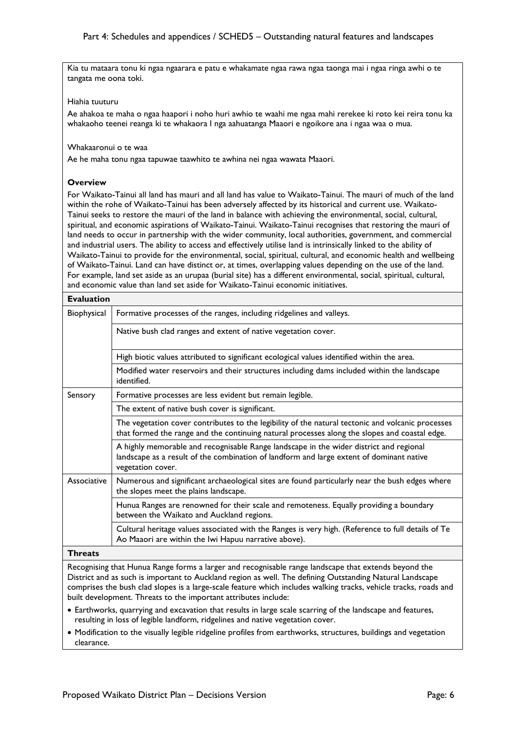Kia tu mataara tonu ki ngaa ngaarara e patu e whakamate ngaa rawa ngaa taonga mai i ngaa ringa awhi o te tangata me oona toki.

### Hiahia tuuturu

Ae ahakoa te maha o ngaa haapori i noho huri awhio te waahi me ngaa mahi rerekee ki roto kei reira tonu ka whakaoho teenei reanga ki te whakaora I nga aahuatanga Maaori e ngoikore ana i ngaa waa o mua.

### Whakaaronui o te waa

Ae he maha tonu ngaa tapuwae taawhito te awhina nei ngaa wawata Maaori.

### **Overview**

For Waikato-Tainui all land has mauri and all land has value to Waikato-Tainui. The mauri of much of the land within the rohe of Waikato-Tainui has been adversely affected by its historical and current use. Waikato-Tainui seeks to restore the mauri of the land in balance with achieving the environmental, social, cultural, spiritual, and economic aspirations of Waikato-Tainui. Waikato-Tainui recognises that restoring the mauri of land needs to occur in partnership with the wider community, local authorities, government, and commercial and industrial users. The ability to access and effectively utilise land is intrinsically linked to the ability of Waikato-Tainui to provide for the environmental, social, spiritual, cultural, and economic health and wellbeing of Waikato-Tainui. Land can have distinct or, at times, overlapping values depending on the use of the land. For example, land set aside as an urupaa (burial site) has a different environmental, social, spiritual, cultural, and economic value than land set aside for Waikato-Tainui economic initiatives.

| <b>Evaluation</b> |                                                                                                                                                                                                         |
|-------------------|---------------------------------------------------------------------------------------------------------------------------------------------------------------------------------------------------------|
| Biophysical       | Formative processes of the ranges, including ridgelines and valleys.                                                                                                                                    |
|                   | Native bush clad ranges and extent of native vegetation cover.                                                                                                                                          |
|                   | High biotic values attributed to significant ecological values identified within the area.                                                                                                              |
|                   | Modified water reservoirs and their structures including dams included within the landscape<br>identified.                                                                                              |
| Sensory           | Formative processes are less evident but remain legible.                                                                                                                                                |
|                   | The extent of native bush cover is significant.                                                                                                                                                         |
|                   | The vegetation cover contributes to the legibility of the natural tectonic and volcanic processes<br>that formed the range and the continuing natural processes along the slopes and coastal edge.      |
|                   | A highly memorable and recognisable Range landscape in the wider district and regional<br>landscape as a result of the combination of landform and large extent of dominant native<br>vegetation cover. |
| Associative       | Numerous and significant archaeological sites are found particularly near the bush edges where<br>the slopes meet the plains landscape.                                                                 |
|                   | Hunua Ranges are renowned for their scale and remoteness. Equally providing a boundary<br>between the Waikato and Auckland regions.                                                                     |
|                   | Cultural heritage values associated with the Ranges is very high. (Reference to full details of Te<br>Ao Maaori are within the Iwi Hapuu narrative above).                                              |
| Th <u>woot</u> o  |                                                                                                                                                                                                         |

### **Threats**

Recognising that Hunua Range forms a larger and recognisable range landscape that extends beyond the District and as such is important to Auckland region as well. The defining Outstanding Natural Landscape comprises the bush clad slopes is a large-scale feature which includes walking tracks, vehicle tracks, roads and built development. Threats to the important attributes include:

- Earthworks, quarrying and excavation that results in large scale scarring of the landscape and features, resulting in loss of legible landform, ridgelines and native vegetation cover.
- Modification to the visually legible ridgeline profiles from earthworks, structures, buildings and vegetation clearance.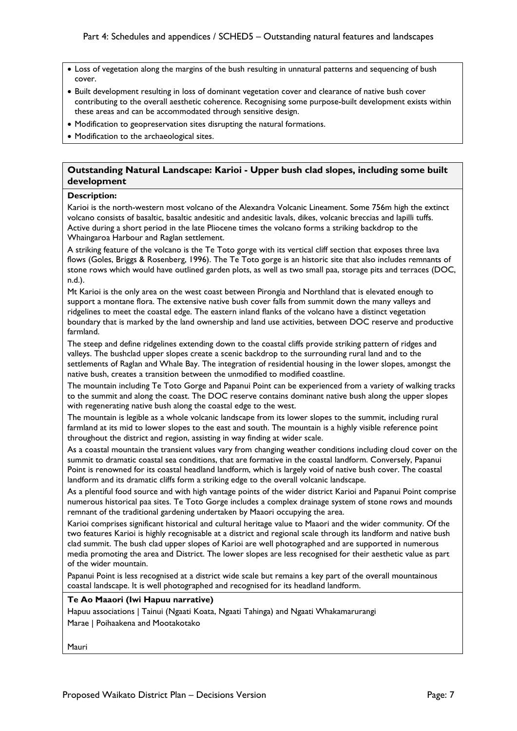- Loss of vegetation along the margins of the bush resulting in unnatural patterns and sequencing of bush cover.
- Built development resulting in loss of dominant vegetation cover and clearance of native bush cover contributing to the overall aesthetic coherence. Recognising some purpose-built development exists within these areas and can be accommodated through sensitive design.
- Modification to geopreservation sites disrupting the natural formations.
- Modification to the archaeological sites.

### **Outstanding Natural Landscape: Karioi - Upper bush clad slopes, including some built development**

### **Description:**

Karioi is the north-western most volcano of the Alexandra Volcanic Lineament. Some 756m high the extinct volcano consists of basaltic, basaltic andesitic and andesitic lavals, dikes, volcanic breccias and lapilli tuffs. Active during a short period in the late Pliocene times the volcano forms a striking backdrop to the Whaingaroa Harbour and Raglan settlement.

A striking feature of the volcano is the Te Toto gorge with its vertical cliff section that exposes three lava flows (Goles, Briggs & Rosenberg, 1996). The Te Toto gorge is an historic site that also includes remnants of stone rows which would have outlined garden plots, as well as two small paa, storage pits and terraces (DOC, n.d.).

Mt Karioi is the only area on the west coast between Pirongia and Northland that is elevated enough to support a montane flora. The extensive native bush cover falls from summit down the many valleys and ridgelines to meet the coastal edge. The eastern inland flanks of the volcano have a distinct vegetation boundary that is marked by the land ownership and land use activities, between DOC reserve and productive farmland.

The steep and define ridgelines extending down to the coastal cliffs provide striking pattern of ridges and valleys. The bushclad upper slopes create a scenic backdrop to the surrounding rural land and to the settlements of Raglan and Whale Bay. The integration of residential housing in the lower slopes, amongst the native bush, creates a transition between the unmodified to modified coastline.

The mountain including Te Toto Gorge and Papanui Point can be experienced from a variety of walking tracks to the summit and along the coast. The DOC reserve contains dominant native bush along the upper slopes with regenerating native bush along the coastal edge to the west.

The mountain is legible as a whole volcanic landscape from its lower slopes to the summit, including rural farmland at its mid to lower slopes to the east and south. The mountain is a highly visible reference point throughout the district and region, assisting in way finding at wider scale.

As a coastal mountain the transient values vary from changing weather conditions including cloud cover on the summit to dramatic coastal sea conditions, that are formative in the coastal landform. Conversely, Papanui Point is renowned for its coastal headland landform, which is largely void of native bush cover. The coastal landform and its dramatic cliffs form a striking edge to the overall volcanic landscape.

As a plentiful food source and with high vantage points of the wider district Karioi and Papanui Point comprise numerous historical paa sites. Te Toto Gorge includes a complex drainage system of stone rows and mounds remnant of the traditional gardening undertaken by Maaori occupying the area.

Karioi comprises significant historical and cultural heritage value to Maaori and the wider community. Of the two features Karioi is highly recognisable at a district and regional scale through its landform and native bush clad summit. The bush clad upper slopes of Karioi are well photographed and are supported in numerous media promoting the area and District. The lower slopes are less recognised for their aesthetic value as part of the wider mountain.

Papanui Point is less recognised at a district wide scale but remains a key part of the overall mountainous coastal landscape. It is well photographed and recognised for its headland landform.

### **Te Ao Maaori (Iwi Hapuu narrative)**

Hapuu associations | Tainui (Ngaati Koata, Ngaati Tahinga) and Ngaati Whakamarurangi Marae | Poihaakena and Mootakotako

Mauri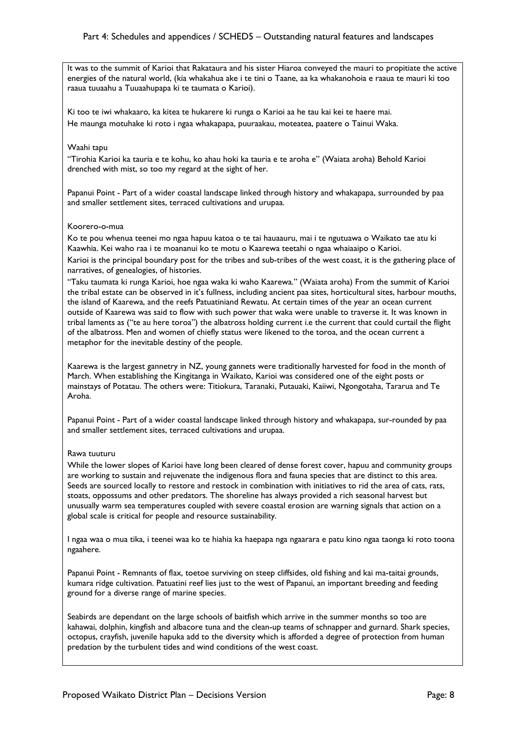It was to the summit of Karioi that Rakataura and his sister Hiaroa conveyed the mauri to propitiate the active energies of the natural world, (kia whakahua ake i te tini o Taane, aa ka whakanohoia e raaua te mauri ki too raaua tuuaahu a Tuuaahupapa ki te taumata o Karioi).

Ki too te iwi whakaaro, ka kitea te hukarere ki runga o Karioi aa he tau kai kei te haere mai. He maunga motuhake ki roto i ngaa whakapapa, puuraakau, moteatea, paatere o Tainui Waka.

### Waahi tapu

"Tirohia Karioi ka tauria e te kohu, ko ahau hoki ka tauria e te aroha e" (Waiata aroha) Behold Karioi drenched with mist, so too my regard at the sight of her.

Papanui Point - Part of a wider coastal landscape linked through history and whakapapa, surrounded by paa and smaller settlement sites, terraced cultivations and urupaa.

### Koorero-o-mua

Ko te pou whenua teenei mo ngaa hapuu katoa o te tai hauaauru, mai i te ngutuawa o Waikato tae atu ki Kaawhia. Kei waho raa i te moananui ko te motu o Kaarewa teetahi o ngaa whaiaaipo o Karioi. Karioi is the principal boundary post for the tribes and sub-tribes of the west coast, it is the gathering place of narratives, of genealogies, of histories.

"Taku taumata ki runga Karioi, hoe ngaa waka ki waho Kaarewa." (Waiata aroha) From the summit of Karioi the tribal estate can be observed in it's fullness, including ancient paa sites, horticultural sites, harbour mouths, the island of Kaarewa, and the reefs Patuatiniand Rewatu. At certain times of the year an ocean current outside of Kaarewa was said to flow with such power that waka were unable to traverse it. It was known in tribal laments as ("te au here toroa") the albatross holding current i.e the current that could curtail the flight of the albatross. Men and women of chiefly status were likened to the toroa, and the ocean current a metaphor for the inevitable destiny of the people.

Kaarewa is the largest gannetry in NZ, young gannets were traditionally harvested for food in the month of March. When establishing the Kingitanga in Waikato, Karioi was considered one of the eight posts or mainstays of Potatau. The others were: Titiokura, Taranaki, Putauaki, Kaiiwi, Ngongotaha, Tararua and Te Aroha.

Papanui Point - Part of a wider coastal landscape linked through history and whakapapa, sur-rounded by paa and smaller settlement sites, terraced cultivations and urupaa.

### Rawa tuuturu

While the lower slopes of Karioi have long been cleared of dense forest cover, hapuu and community groups are working to sustain and rejuvenate the indigenous flora and fauna species that are distinct to this area. Seeds are sourced locally to restore and restock in combination with initiatives to rid the area of cats, rats, stoats, oppossums and other predators. The shoreline has always provided a rich seasonal harvest but unusually warm sea temperatures coupled with severe coastal erosion are warning signals that action on a global scale is critical for people and resource sustainability.

I ngaa waa o mua tika, i teenei waa ko te hiahia ka haepapa nga ngaarara e patu kino ngaa taonga ki roto toona ngaahere.

Papanui Point - Remnants of flax, toetoe surviving on steep cliffsides, old fishing and kai ma-taitai grounds, kumara ridge cultivation. Patuatini reef lies just to the west of Papanui, an important breeding and feeding ground for a diverse range of marine species.

Seabirds are dependant on the large schools of baitfish which arrive in the summer months so too are kahawai, dolphin, kingfish and albacore tuna and the clean-up teams of schnapper and gurnard. Shark species, octopus, crayfish, juvenile hapuka add to the diversity which is afforded a degree of protection from human predation by the turbulent tides and wind conditions of the west coast.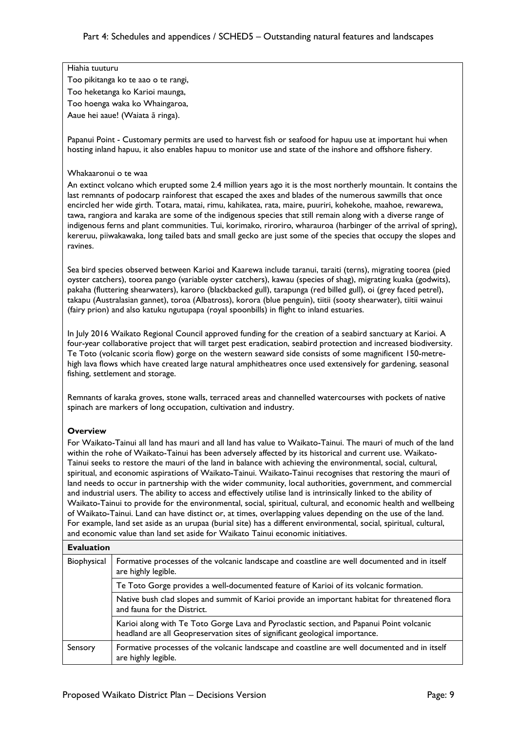### Hiahia tuuturu

Too pikitanga ko te aao o te rangi, Too heketanga ko Karioi maunga, Too hoenga waka ko Whaingaroa,

Aaue hei aaue! (Waiata ā ringa).

Papanui Point - Customary permits are used to harvest fish or seafood for hapuu use at important hui when hosting inland hapuu, it also enables hapuu to monitor use and state of the inshore and offshore fishery.

### Whakaaronui o te waa

An extinct volcano which erupted some 2.4 million years ago it is the most northerly mountain. It contains the last remnants of podocarp rainforest that escaped the axes and blades of the numerous sawmills that once encircled her wide girth. Totara, matai, rimu, kahikatea, rata, maire, puuriri, kohekohe, maahoe, rewarewa, tawa, rangiora and karaka are some of the indigenous species that still remain along with a diverse range of indigenous ferns and plant communities. Tui, korimako, riroriro, wharauroa (harbinger of the arrival of spring), kereruu, piiwakawaka, long tailed bats and small gecko are just some of the species that occupy the slopes and ravines.

Sea bird species observed between Karioi and Kaarewa include taranui, taraiti (terns), migrating toorea (pied oyster catchers), toorea pango (variable oyster catchers), kawau (species of shag), migrating kuaka (godwits), pakaha (fluttering shearwaters), karoro (blackbacked gull), tarapunga (red billed gull), oi (grey faced petrel), takapu (Australasian gannet), toroa (Albatross), korora (blue penguin), tiitii (sooty shearwater), tiitii wainui (fairy prion) and also katuku ngutupapa (royal spoonbills) in flight to inland estuaries.

In July 2016 Waikato Regional Council approved funding for the creation of a seabird sanctuary at Karioi. A four-year collaborative project that will target pest eradication, seabird protection and increased biodiversity. Te Toto (volcanic scoria flow) gorge on the western seaward side consists of some magnificent 150-metrehigh lava flows which have created large natural amphitheatres once used extensively for gardening, seasonal fishing, settlement and storage.

Remnants of karaka groves, stone walls, terraced areas and channelled watercourses with pockets of native spinach are markers of long occupation, cultivation and industry.

### **Overview**

For Waikato-Tainui all land has mauri and all land has value to Waikato-Tainui. The mauri of much of the land within the rohe of Waikato-Tainui has been adversely affected by its historical and current use. Waikato-Tainui seeks to restore the mauri of the land in balance with achieving the environmental, social, cultural, spiritual, and economic aspirations of Waikato-Tainui. Waikato-Tainui recognises that restoring the mauri of land needs to occur in partnership with the wider community, local authorities, government, and commercial and industrial users. The ability to access and effectively utilise land is intrinsically linked to the ability of Waikato-Tainui to provide for the environmental, social, spiritual, cultural, and economic health and wellbeing of Waikato-Tainui. Land can have distinct or, at times, overlapping values depending on the use of the land. For example, land set aside as an urupaa (burial site) has a different environmental, social, spiritual, cultural, and economic value than land set aside for Waikato Tainui economic initiatives.

| <b>Evaluation</b> |                                                                                                                                                                          |
|-------------------|--------------------------------------------------------------------------------------------------------------------------------------------------------------------------|
| Biophysical       | Formative processes of the volcanic landscape and coastline are well documented and in itself<br>are highly legible.                                                     |
|                   | Te Toto Gorge provides a well-documented feature of Karioi of its volcanic formation.                                                                                    |
|                   | Native bush clad slopes and summit of Karioi provide an important habitat for threatened flora<br>and fauna for the District.                                            |
|                   | Karioi along with Te Toto Gorge Lava and Pyroclastic section, and Papanui Point volcanic<br>headland are all Geopreservation sites of significant geological importance. |
| Sensory           | Formative processes of the volcanic landscape and coastline are well documented and in itself<br>are highly legible.                                                     |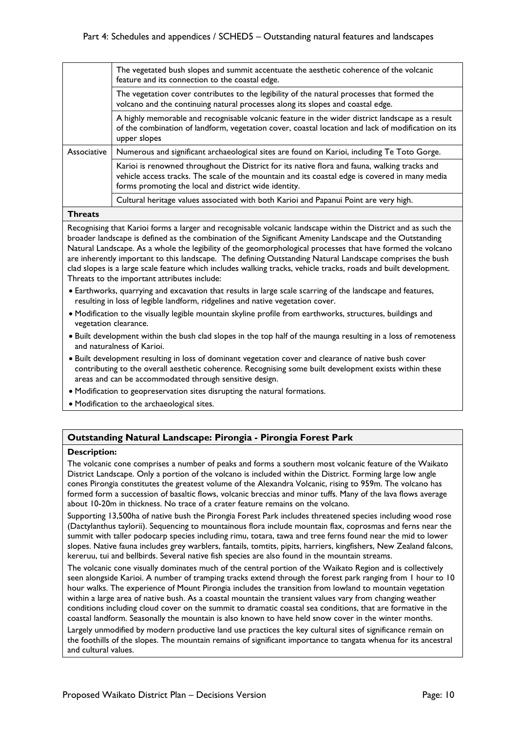|             | The vegetated bush slopes and summit accentuate the aesthetic coherence of the volcanic<br>feature and its connection to the coastal edge.                                                                                                               |
|-------------|----------------------------------------------------------------------------------------------------------------------------------------------------------------------------------------------------------------------------------------------------------|
|             | The vegetation cover contributes to the legibility of the natural processes that formed the<br>volcano and the continuing natural processes along its slopes and coastal edge.                                                                           |
|             | A highly memorable and recognisable volcanic feature in the wider district landscape as a result<br>of the combination of landform, vegetation cover, coastal location and lack of modification on its<br>upper slopes                                   |
| Associative | Numerous and significant archaeological sites are found on Karioi, including Te Toto Gorge.                                                                                                                                                              |
|             | Karioi is renowned throughout the District for its native flora and fauna, walking tracks and<br>vehicle access tracks. The scale of the mountain and its coastal edge is covered in many media<br>forms promoting the local and district wide identity. |
|             | Cultural heritage values associated with both Karioi and Papanui Point are very high.                                                                                                                                                                    |
|             |                                                                                                                                                                                                                                                          |

**Threats**

Recognising that Karioi forms a larger and recognisable volcanic landscape within the District and as such the broader landscape is defined as the combination of the Significant Amenity Landscape and the Outstanding Natural Landscape. As a whole the legibility of the geomorphological processes that have formed the volcano are inherently important to this landscape. The defining Outstanding Natural Landscape comprises the bush clad slopes is a large scale feature which includes walking tracks, vehicle tracks, roads and built development. Threats to the important attributes include:

- Earthworks, quarrying and excavation that results in large scale scarring of the landscape and features, resulting in loss of legible landform, ridgelines and native vegetation cover.
- Modification to the visually legible mountain skyline profile from earthworks, structures, buildings and vegetation clearance.
- Built development within the bush clad slopes in the top half of the maunga resulting in a loss of remoteness and naturalness of Karioi.
- Built development resulting in loss of dominant vegetation cover and clearance of native bush cover contributing to the overall aesthetic coherence. Recognising some built development exists within these areas and can be accommodated through sensitive design.
- Modification to geopreservation sites disrupting the natural formations.
- Modification to the archaeological sites.

### **Outstanding Natural Landscape: Pirongia - Pirongia Forest Park**

### **Description:**

The volcanic cone comprises a number of peaks and forms a southern most volcanic feature of the Waikato District Landscape. Only a portion of the volcano is included within the District. Forming large low angle cones Pirongia constitutes the greatest volume of the Alexandra Volcanic, rising to 959m. The volcano has formed form a succession of basaltic flows, volcanic breccias and minor tuffs. Many of the lava flows average about 10-20m in thickness. No trace of a crater feature remains on the volcano.

Supporting 13,500ha of native bush the Pirongia Forest Park includes threatened species including wood rose (Dactylanthus taylorii). Sequencing to mountainous flora include mountain flax, coprosmas and ferns near the summit with taller podocarp species including rimu, totara, tawa and tree ferns found near the mid to lower slopes. Native fauna includes grey warblers, fantails, tomtits, pipits, harriers, kingfishers, New Zealand falcons, kereruu, tui and bellbirds. Several native fish species are also found in the mountain streams.

The volcanic cone visually dominates much of the central portion of the Waikato Region and is collectively seen alongside Karioi. A number of tramping tracks extend through the forest park ranging from 1 hour to 10 hour walks. The experience of Mount Pirongia includes the transition from lowland to mountain vegetation within a large area of native bush. As a coastal mountain the transient values vary from changing weather conditions including cloud cover on the summit to dramatic coastal sea conditions, that are formative in the coastal landform. Seasonally the mountain is also known to have held snow cover in the winter months.

Largely unmodified by modern productive land use practices the key cultural sites of significance remain on the foothills of the slopes. The mountain remains of significant importance to tangata whenua for its ancestral and cultural values.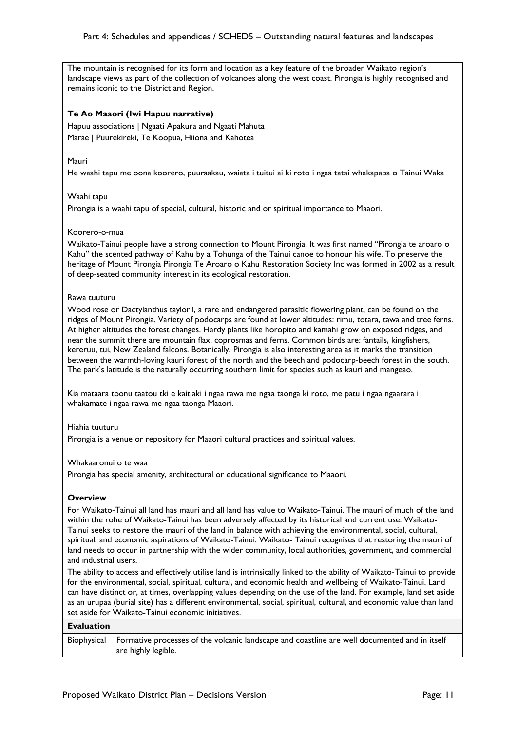### Part 4: Schedules and appendices / SCHED5 – Outstanding natural features and landscapes

The mountain is recognised for its form and location as a key feature of the broader Waikato region's landscape views as part of the collection of volcanoes along the west coast. Pirongia is highly recognised and remains iconic to the District and Region.

### **Te Ao Maaori (Iwi Hapuu narrative)**

Hapuu associations | Ngaati Apakura and Ngaati Mahuta Marae | Puurekireki, Te Koopua, Hiiona and Kahotea

#### Mauri

He waahi tapu me oona koorero, puuraakau, waiata i tuitui ai ki roto i ngaa tatai whakapapa o Tainui Waka

### Waahi tapu

Pirongia is a waahi tapu of special, cultural, historic and or spiritual importance to Maaori.

### Koorero-o-mua

Waikato-Tainui people have a strong connection to Mount Pirongia. It was first named "Pirongia te aroaro o Kahu" the scented pathway of Kahu by a Tohunga of the Tainui canoe to honour his wife. To preserve the heritage of Mount Pirongia Pirongia Te Aroaro o Kahu Restoration Society Inc was formed in 2002 as a result of deep-seated community interest in its ecological restoration.

### Rawa tuuturu

Wood rose or Dactylanthus taylorii, a rare and endangered parasitic flowering plant, can be found on the ridges of Mount Pirongia. Variety of podocarps are found at lower altitudes: rimu, totara, tawa and tree ferns. At higher altitudes the forest changes. Hardy plants like horopito and kamahi grow on exposed ridges, and near the summit there are mountain flax, coprosmas and ferns. Common birds are: fantails, kingfishers, kereruu, tui, New Zealand falcons. Botanically, Pirongia is also interesting area as it marks the transition between the warmth-loving kauri forest of the north and the beech and podocarp-beech forest in the south. The park's latitude is the naturally occurring southern limit for species such as kauri and mangeao.

Kia mataara toonu taatou tki e kaitiaki i ngaa rawa me ngaa taonga ki roto, me patu i ngaa ngaarara i whakamate i ngaa rawa me ngaa taonga Maaori.

#### Hiahia tuuturu

Pirongia is a venue or repository for Maaori cultural practices and spiritual values.

#### Whakaaronui o te waa

Pirongia has special amenity, architectural or educational significance to Maaori.

### **Overview**

For Waikato-Tainui all land has mauri and all land has value to Waikato-Tainui. The mauri of much of the land within the rohe of Waikato-Tainui has been adversely affected by its historical and current use. Waikato-Tainui seeks to restore the mauri of the land in balance with achieving the environmental, social, cultural, spiritual, and economic aspirations of Waikato-Tainui. Waikato- Tainui recognises that restoring the mauri of land needs to occur in partnership with the wider community, local authorities, government, and commercial and industrial users.

The ability to access and effectively utilise land is intrinsically linked to the ability of Waikato-Tainui to provide for the environmental, social, spiritual, cultural, and economic health and wellbeing of Waikato-Tainui. Land can have distinct or, at times, overlapping values depending on the use of the land. For example, land set aside as an urupaa (burial site) has a different environmental, social, spiritual, cultural, and economic value than land set aside for Waikato-Tainui economic initiatives.

| <b>Evaluation</b> |                                                                                                                                    |
|-------------------|------------------------------------------------------------------------------------------------------------------------------------|
|                   | Biophysical   Formative processes of the volcanic landscape and coastline are well documented and in itself<br>are highly legible. |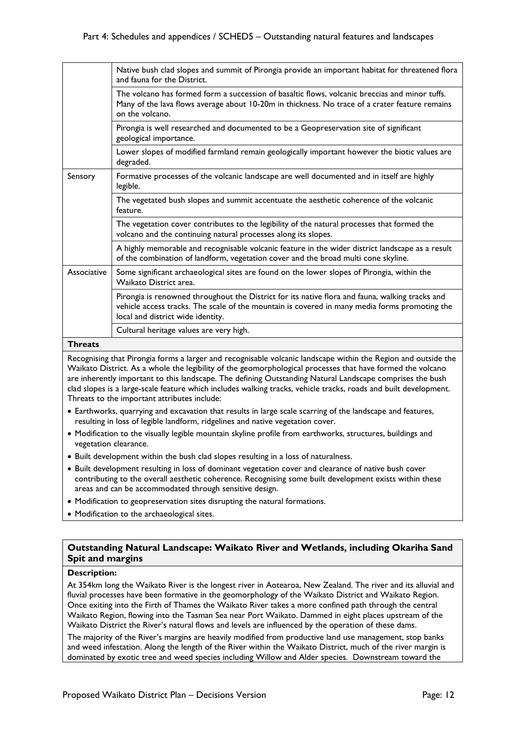|             | Native bush clad slopes and summit of Pirongia provide an important habitat for threatened flora<br>and fauna for the District.                                                                                                       |
|-------------|---------------------------------------------------------------------------------------------------------------------------------------------------------------------------------------------------------------------------------------|
|             | The volcano has formed form a succession of basaltic flows, volcanic breccias and minor tuffs.<br>Many of the lava flows average about 10-20m in thickness. No trace of a crater feature remains<br>on the volcano.                   |
|             | Pirongia is well researched and documented to be a Geopreservation site of significant<br>geological importance.                                                                                                                      |
|             | Lower slopes of modified farmland remain geologically important however the biotic values are<br>degraded.                                                                                                                            |
| Sensory     | Formative processes of the volcanic landscape are well documented and in itself are highly<br>legible.                                                                                                                                |
|             | The vegetated bush slopes and summit accentuate the aesthetic coherence of the volcanic<br>feature.                                                                                                                                   |
|             | The vegetation cover contributes to the legibility of the natural processes that formed the<br>volcano and the continuing natural processes along its slopes.                                                                         |
|             | A highly memorable and recognisable volcanic feature in the wider district landscape as a result<br>of the combination of landform, vegetation cover and the broad multi cone skyline.                                                |
| Associative | Some significant archaeological sites are found on the lower slopes of Pirongia, within the<br>Waikato District area.                                                                                                                 |
|             | Pirongia is renowned throughout the District for its native flora and fauna, walking tracks and<br>vehicle access tracks. The scale of the mountain is covered in many media forms promoting the<br>local and district wide identity. |
|             | Cultural heritage values are very high.                                                                                                                                                                                               |
|             |                                                                                                                                                                                                                                       |

**Threats**

Recognising that Pirongia forms a larger and recognisable volcanic landscape within the Region and outside the Waikato District. As a whole the legibility of the geomorphological processes that have formed the volcano are inherently important to this landscape. The defining Outstanding Natural Landscape comprises the bush clad slopes is a large-scale feature which includes walking tracks, vehicle tracks, roads and built development. Threats to the important attributes include:

- Earthworks, quarrying and excavation that results in large scale scarring of the landscape and features, resulting in loss of legible landform, ridgelines and native vegetation cover.
- Modification to the visually legible mountain skyline profile from earthworks, structures, buildings and vegetation clearance.
- Built development within the bush clad slopes resulting in a loss of naturalness.
- Built development resulting in loss of dominant vegetation cover and clearance of native bush cover contributing to the overall aesthetic coherence. Recognising some built development exists within these areas and can be accommodated through sensitive design.
- Modification to geopreservation sites disrupting the natural formations.
- Modification to the archaeological sites.

### **Outstanding Natural Landscape: Waikato River and Wetlands, including Okariha Sand Spit and margins**

### **Description:**

At 354km long the Waikato River is the longest river in Aotearoa, New Zealand. The river and its alluvial and fluvial processes have been formative in the geomorphology of the Waikato District and Waikato Region. Once exiting into the Firth of Thames the Waikato River takes a more confined path through the central Waikato Region, flowing into the Tasman Sea near Port Waikato. Dammed in eight places upstream of the Waikato District the River's natural flows and levels are influenced by the operation of these dams.

The majority of the River's margins are heavily modified from productive land use management, stop banks and weed infestation. Along the length of the River within the Waikato District, much of the river margin is dominated by exotic tree and weed species including Willow and Alder species. Downstream toward the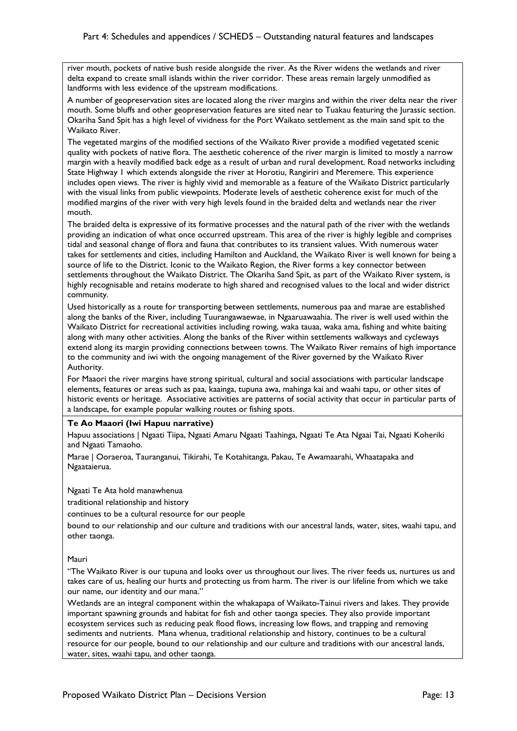river mouth, pockets of native bush reside alongside the river. As the River widens the wetlands and river delta expand to create small islands within the river corridor. These areas remain largely unmodified as landforms with less evidence of the upstream modifications.

A number of geopreservation sites are located along the river margins and within the river delta near the river mouth. Some bluffs and other geopreservation features are sited near to Tuakau featuring the Jurassic section. Okariha Sand Spit has a high level of vividness for the Port Waikato settlement as the main sand spit to the Waikato River.

The vegetated margins of the modified sections of the Waikato River provide a modified vegetated scenic quality with pockets of native flora. The aesthetic coherence of the river margin is limited to mostly a narrow margin with a heavily modified back edge as a result of urban and rural development. Road networks including State Highway 1 which extends alongside the river at Horotiu, Rangiriri and Meremere. This experience includes open views. The river is highly vivid and memorable as a feature of the Waikato District particularly with the visual links from public viewpoints. Moderate levels of aesthetic coherence exist for much of the modified margins of the river with very high levels found in the braided delta and wetlands near the river mouth.

The braided delta is expressive of its formative processes and the natural path of the river with the wetlands providing an indication of what once occurred upstream. This area of the river is highly legible and comprises tidal and seasonal change of flora and fauna that contributes to its transient values. With numerous water takes for settlements and cities, including Hamilton and Auckland, the Waikato River is well known for being a source of life to the District. Iconic to the Waikato Region, the River forms a key connector between settlements throughout the Waikato District. The Okariha Sand Spit, as part of the Waikato River system, is highly recognisable and retains moderate to high shared and recognised values to the local and wider district community.

Used historically as a route for transporting between settlements, numerous paa and marae are established along the banks of the River, including Tuurangawaewae, in Ngaaruawaahia. The river is well used within the Waikato District for recreational activities including rowing, waka tauaa, waka ama, fishing and white baiting along with many other activities. Along the banks of the River within settlements walkways and cycleways extend along its margin providing connections between towns. The Waikato River remains of high importance to the community and iwi with the ongoing management of the River governed by the Waikato River Authority.

For Maaori the river margins have strong spiritual, cultural and social associations with particular landscape elements, features or areas such as paa, kaainga, tupuna awa, mahinga kai and waahi tapu, or other sites of historic events or heritage. Associative activities are patterns of social activity that occur in particular parts of a landscape, for example popular walking routes or fishing spots.

### **Te Ao Maaori (Iwi Hapuu narrative)**

Hapuu associations | Ngaati Tiipa, Ngaati Amaru Ngaati Taahinga, Ngaati Te Ata Ngaai Tai, Ngaati Koheriki and Ngaati Tamaoho.

Marae | Ooraeroa, Tauranganui, Tikirahi, Te Kotahitanga, Pakau, Te Awamaarahi, Whaatapaka and Ngaataierua.

Ngaati Te Ata hold manawhenua

traditional relationship and history

continues to be a cultural resource for our people

bound to our relationship and our culture and traditions with our ancestral lands, water, sites, waahi tapu, and other taonga.

### Mauri

"The Waikato River is our tupuna and looks over us throughout our lives. The river feeds us, nurtures us and takes care of us, healing our hurts and protecting us from harm. The river is our lifeline from which we take our name, our identity and our mana."

Wetlands are an integral component within the whakapapa of Waikato-Tainui rivers and lakes. They provide important spawning grounds and habitat for fish and other taonga species. They also provide important ecosystem services such as reducing peak flood flows, increasing low flows, and trapping and removing sediments and nutrients. Mana whenua, traditional relationship and history, continues to be a cultural resource for our people, bound to our relationship and our culture and traditions with our ancestral lands, water, sites, waahi tapu, and other taonga.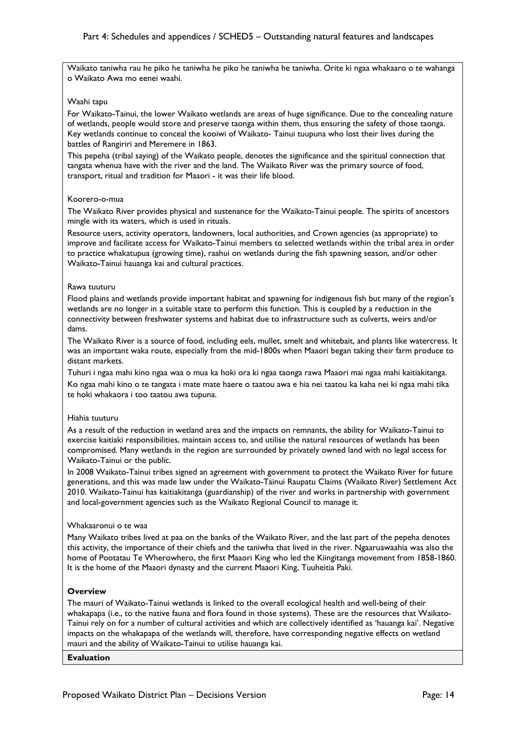Waikato taniwha rau he piko he taniwha he piko he taniwha he taniwha. Orite ki ngaa whakaaro o te wahanga o Waikato Awa mo eenei waahi.

### Waahi tapu

For Waikato-Tainui, the lower Waikato wetlands are areas of huge significance. Due to the concealing nature of wetlands, people would store and preserve taonga within them, thus ensuring the safety of those taonga. Key wetlands continue to conceal the kooiwi of Waikato- Tainui tuupuna who lost their lives during the battles of Rangiriri and Meremere in 1863.

This pepeha (tribal saying) of the Waikato people, denotes the significance and the spiritual connection that tangata whenua have with the river and the land. The Waikato River was the primary source of food, transport, ritual and tradition for Maaori - it was their life blood.

### Koorero-o-mua

The Waikato River provides physical and sustenance for the Waikato-Tainui people. The spirits of ancestors mingle with its waters, which is used in rituals.

Resource users, activity operators, landowners, local authorities, and Crown agencies (as appropriate) to improve and facilitate access for Waikato-Tainui members to selected wetlands within the tribal area in order to practice whakatupua (growing time), raahui on wetlands during the fish spawning season, and/or other Waikato-Tainui hauanga kai and cultural practices.

### Rawa tuuturu

Flood plains and wetlands provide important habitat and spawning for indigenous fish but many of the region's wetlands are no longer in a suitable state to perform this function. This is coupled by a reduction in the connectivity between freshwater systems and habitat due to infrastructure such as culverts, weirs and/or dams.

The Waikato River is a source of food, including eels, mullet, smelt and whitebait, and plants like watercress. It was an important waka route, especially from the mid-1800s when Maaori began taking their farm produce to distant markets.

Tuhuri i ngaa mahi kino ngaa waa o mua ka hoki ora ki ngaa taonga rawa Maaori mai ngaa mahi kaitiakitanga. Ko ngaa mahi kino o te tangata i mate mate haere o taatou awa e hia nei taatou ka kaha nei ki ngaa mahi tika te hoki whakaora i too taatou awa tupuna.

#### Hiahia tuuturu

As a result of the reduction in wetland area and the impacts on remnants, the ability for Waikato-Tainui to exercise kaitiaki responsibilities, maintain access to, and utilise the natural resources of wetlands has been compromised. Many wetlands in the region are surrounded by privately owned land with no legal access for Waikato-Tainui or the public.

In 2008 Waikato-Tainui tribes signed an agreement with government to protect the Waikato River for future generations, and this was made law under the Waikato-Tainui Raupatu Claims (Waikato River) Settlement Act 2010. Waikato-Tainui has kaitiakitanga (guardianship) of the river and works in partnership with government and local-government agencies such as the Waikato Regional Council to manage it.

### Whakaaronui o te waa

Many Waikato tribes lived at paa on the banks of the Waikato River, and the last part of the pepeha denotes this activity, the importance of their chiefs and the taniwha that lived in the river. Ngaaruawaahia was also the home of Pootatau Te Wherowhero, the first Maaori King who led the Kiingitanga movement from 1858-1860. It is the home of the Maaori dynasty and the current Maaori King, Tuuheitia Paki.

### **Overview**

The mauri of Waikato-Tainui wetlands is linked to the overall ecological health and well-being of their whakapapa (i.e., to the native fauna and flora found in those systems). These are the resources that Waikato-Tainui rely on for a number of cultural activities and which are collectively identified as 'hauanga kai'. Negative impacts on the whakapapa of the wetlands will, therefore, have corresponding negative effects on wetland mauri and the ability of Waikato-Tainui to utilise hauanga kai.

#### **Evaluation**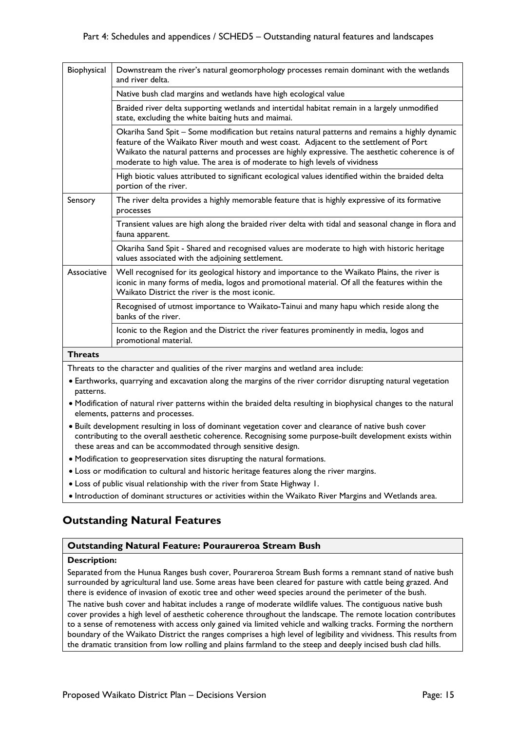| Biophysical    | Downstream the river's natural geomorphology processes remain dominant with the wetlands<br>and river delta.                                                                                                                                                                                                                                                               |
|----------------|----------------------------------------------------------------------------------------------------------------------------------------------------------------------------------------------------------------------------------------------------------------------------------------------------------------------------------------------------------------------------|
|                | Native bush clad margins and wetlands have high ecological value                                                                                                                                                                                                                                                                                                           |
|                | Braided river delta supporting wetlands and intertidal habitat remain in a largely unmodified<br>state, excluding the white baiting huts and maimai.                                                                                                                                                                                                                       |
|                | Okariha Sand Spit - Some modification but retains natural patterns and remains a highly dynamic<br>feature of the Waikato River mouth and west coast. Adjacent to the settlement of Port<br>Waikato the natural patterns and processes are highly expressive. The aesthetic coherence is of<br>moderate to high value. The area is of moderate to high levels of vividness |
|                | High biotic values attributed to significant ecological values identified within the braided delta<br>portion of the river.                                                                                                                                                                                                                                                |
| Sensory        | The river delta provides a highly memorable feature that is highly expressive of its formative<br>processes                                                                                                                                                                                                                                                                |
|                | Transient values are high along the braided river delta with tidal and seasonal change in flora and<br>fauna apparent.                                                                                                                                                                                                                                                     |
|                | Okariha Sand Spit - Shared and recognised values are moderate to high with historic heritage<br>values associated with the adjoining settlement.                                                                                                                                                                                                                           |
| Associative    | Well recognised for its geological history and importance to the Waikato Plains, the river is<br>iconic in many forms of media, logos and promotional material. Of all the features within the<br>Waikato District the river is the most iconic.                                                                                                                           |
|                | Recognised of utmost importance to Waikato-Tainui and many hapu which reside along the<br>banks of the river.                                                                                                                                                                                                                                                              |
|                | Iconic to the Region and the District the river features prominently in media, logos and<br>promotional material.                                                                                                                                                                                                                                                          |
| <b>Threats</b> |                                                                                                                                                                                                                                                                                                                                                                            |

Threats to the character and qualities of the river margins and wetland area include:

- Earthworks, quarrying and excavation along the margins of the river corridor disrupting natural vegetation patterns.
- Modification of natural river patterns within the braided delta resulting in biophysical changes to the natural elements, patterns and processes.
- Built development resulting in loss of dominant vegetation cover and clearance of native bush cover contributing to the overall aesthetic coherence. Recognising some purpose-built development exists within these areas and can be accommodated through sensitive design.
- Modification to geopreservation sites disrupting the natural formations.
- Loss or modification to cultural and historic heritage features along the river margins.
- Loss of public visual relationship with the river from State Highway 1.
- Introduction of dominant structures or activities within the Waikato River Margins and Wetlands area.

## **Outstanding Natural Features**

### **Outstanding Natural Feature: Pouraureroa Stream Bush**

### **Description:**

Separated from the Hunua Ranges bush cover, Pourareroa Stream Bush forms a remnant stand of native bush surrounded by agricultural land use. Some areas have been cleared for pasture with cattle being grazed. And there is evidence of invasion of exotic tree and other weed species around the perimeter of the bush.

The native bush cover and habitat includes a range of moderate wildlife values. The contiguous native bush cover provides a high level of aesthetic coherence throughout the landscape. The remote location contributes to a sense of remoteness with access only gained via limited vehicle and walking tracks. Forming the northern boundary of the Waikato District the ranges comprises a high level of legibility and vividness. This results from the dramatic transition from low rolling and plains farmland to the steep and deeply incised bush clad hills.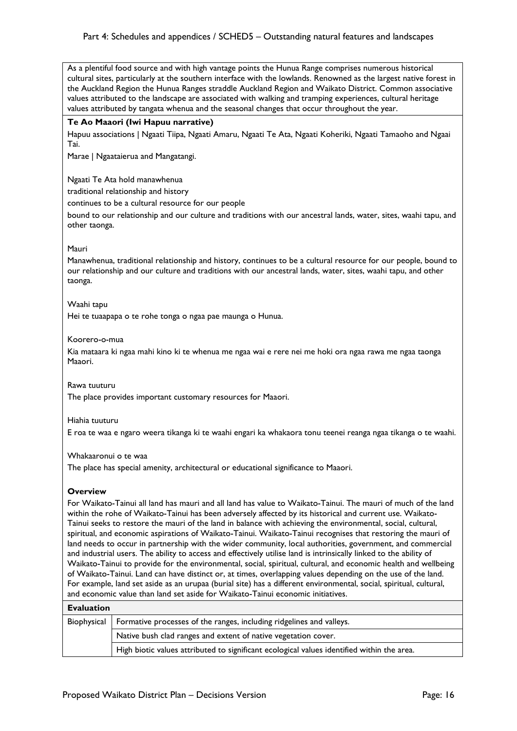As a plentiful food source and with high vantage points the Hunua Range comprises numerous historical cultural sites, particularly at the southern interface with the lowlands. Renowned as the largest native forest in the Auckland Region the Hunua Ranges straddle Auckland Region and Waikato District. Common associative values attributed to the landscape are associated with walking and tramping experiences, cultural heritage values attributed by tangata whenua and the seasonal changes that occur throughout the year.

### **Te Ao Maaori (Iwi Hapuu narrative)**

Hapuu associations | Ngaati Tiipa, Ngaati Amaru, Ngaati Te Ata, Ngaati Koheriki, Ngaati Tamaoho and Ngaai Tai.

Marae | Ngaataierua and Mangatangi.

Ngaati Te Ata hold manawhenua

traditional relationship and history

continues to be a cultural resource for our people

bound to our relationship and our culture and traditions with our ancestral lands, water, sites, waahi tapu, and other taonga.

### Mauri

Manawhenua, traditional relationship and history, continues to be a cultural resource for our people, bound to our relationship and our culture and traditions with our ancestral lands, water, sites, waahi tapu, and other taonga.

### Waahi tapu

Hei te tuaapapa o te rohe tonga o ngaa pae maunga o Hunua.

### Koorero-o-mua

Kia mataara ki ngaa mahi kino ki te whenua me ngaa wai e rere nei me hoki ora ngaa rawa me ngaa taonga Maaori.

### Rawa tuuturu

The place provides important customary resources for Maaori.

#### Hiahia tuuturu

E roa te waa e ngaro weera tikanga ki te waahi engari ka whakaora tonu teenei reanga ngaa tikanga o te waahi.

#### Whakaaronui o te waa

The place has special amenity, architectural or educational significance to Maaori.

#### **Overview**

For Waikato-Tainui all land has mauri and all land has value to Waikato-Tainui. The mauri of much of the land within the rohe of Waikato-Tainui has been adversely affected by its historical and current use. Waikato-Tainui seeks to restore the mauri of the land in balance with achieving the environmental, social, cultural, spiritual, and economic aspirations of Waikato-Tainui. Waikato-Tainui recognises that restoring the mauri of land needs to occur in partnership with the wider community, local authorities, government, and commercial and industrial users. The ability to access and effectively utilise land is intrinsically linked to the ability of Waikato-Tainui to provide for the environmental, social, spiritual, cultural, and economic health and wellbeing of Waikato-Tainui. Land can have distinct or, at times, overlapping values depending on the use of the land. For example, land set aside as an urupaa (burial site) has a different environmental, social, spiritual, cultural, and economic value than land set aside for Waikato-Tainui economic initiatives.

### **Evaluation**

| Biophysical   Formative processes of the ranges, including ridgelines and valleys.         |  |
|--------------------------------------------------------------------------------------------|--|
| Native bush clad ranges and extent of native vegetation cover.                             |  |
| High biotic values attributed to significant ecological values identified within the area. |  |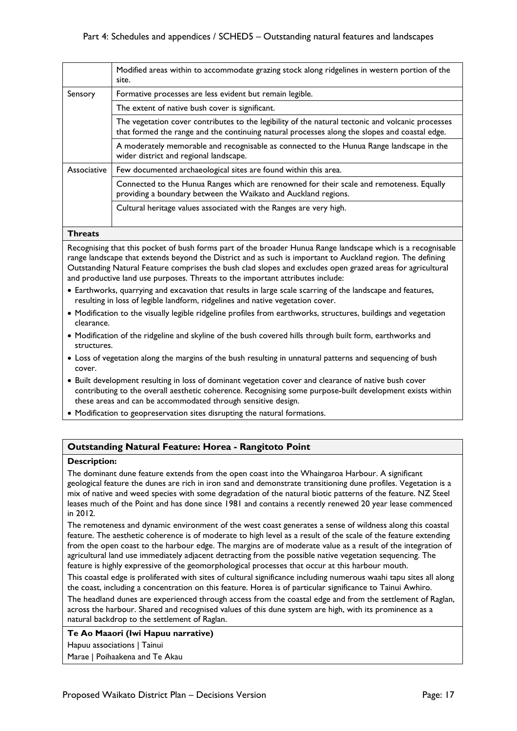|             | Modified areas within to accommodate grazing stock along ridgelines in western portion of the<br>site.                                                                                             |
|-------------|----------------------------------------------------------------------------------------------------------------------------------------------------------------------------------------------------|
| Sensory     | Formative processes are less evident but remain legible.                                                                                                                                           |
|             | The extent of native bush cover is significant.                                                                                                                                                    |
|             | The vegetation cover contributes to the legibility of the natural tectonic and volcanic processes<br>that formed the range and the continuing natural processes along the slopes and coastal edge. |
|             | A moderately memorable and recognisable as connected to the Hunua Range landscape in the<br>wider district and regional landscape.                                                                 |
| Associative | Few documented archaeological sites are found within this area.                                                                                                                                    |
|             | Connected to the Hunua Ranges which are renowned for their scale and remoteness. Equally<br>providing a boundary between the Waikato and Auckland regions.                                         |
|             | Cultural heritage values associated with the Ranges are very high.                                                                                                                                 |

### **Threats**

Recognising that this pocket of bush forms part of the broader Hunua Range landscape which is a recognisable range landscape that extends beyond the District and as such is important to Auckland region. The defining Outstanding Natural Feature comprises the bush clad slopes and excludes open grazed areas for agricultural and productive land use purposes. Threats to the important attributes include:

- Earthworks, quarrying and excavation that results in large scale scarring of the landscape and features, resulting in loss of legible landform, ridgelines and native vegetation cover.
- Modification to the visually legible ridgeline profiles from earthworks, structures, buildings and vegetation clearance.
- Modification of the ridgeline and skyline of the bush covered hills through built form, earthworks and structures.
- Loss of vegetation along the margins of the bush resulting in unnatural patterns and sequencing of bush cover.
- Built development resulting in loss of dominant vegetation cover and clearance of native bush cover contributing to the overall aesthetic coherence. Recognising some purpose-built development exists within these areas and can be accommodated through sensitive design.
- Modification to geopreservation sites disrupting the natural formations.

### **Outstanding Natural Feature: Horea - Rangitoto Point**

### **Description:**

The dominant dune feature extends from the open coast into the Whaingaroa Harbour. A significant geological feature the dunes are rich in iron sand and demonstrate transitioning dune profiles. Vegetation is a mix of native and weed species with some degradation of the natural biotic patterns of the feature. NZ Steel leases much of the Point and has done since 1981 and contains a recently renewed 20 year lease commenced in 2012.

The remoteness and dynamic environment of the west coast generates a sense of wildness along this coastal feature. The aesthetic coherence is of moderate to high level as a result of the scale of the feature extending from the open coast to the harbour edge. The margins are of moderate value as a result of the integration of agricultural land use immediately adjacent detracting from the possible native vegetation sequencing. The feature is highly expressive of the geomorphological processes that occur at this harbour mouth.

This coastal edge is proliferated with sites of cultural significance including numerous waahi tapu sites all along the coast, including a concentration on this feature. Horea is of particular significance to Tainui Awhiro.

The headland dunes are experienced through access from the coastal edge and from the settlement of Raglan, across the harbour. Shared and recognised values of this dune system are high, with its prominence as a natural backdrop to the settlement of Raglan.

**Te Ao Maaori (Iwi Hapuu narrative)**  Hapuu associations | Tainui

Marae | Poihaakena and Te Akau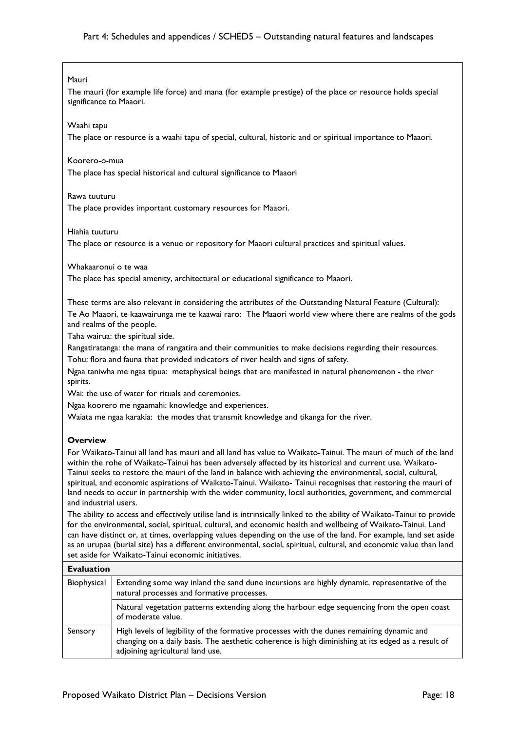### Mauri

The mauri (for example life force) and mana (for example prestige) of the place or resource holds special significance to Maaori.

### Waahi tapu

The place or resource is a waahi tapu of special, cultural, historic and or spiritual importance to Maaori.

### Koorero-o-mua

The place has special historical and cultural significance to Maaori

### Rawa tuuturu

The place provides important customary resources for Maaori.

### Hiahia tuuturu

The place or resource is a venue or repository for Maaori cultural practices and spiritual values.

### Whakaaronui o te waa

The place has special amenity, architectural or educational significance to Maaori.

These terms are also relevant in considering the attributes of the Outstanding Natural Feature (Cultural): Te Ao Maaori, te kaawairunga me te kaawai raro: The Maaori world view where there are realms of the gods and realms of the people.

Taha wairua: the spiritual side.

Rangatiratanga: the mana of rangatira and their communities to make decisions regarding their resources. Tohu: flora and fauna that provided indicators of river health and signs of safety.

Ngaa taniwha me ngaa tipua: metaphysical beings that are manifested in natural phenomenon - the river spirits.

Wai: the use of water for rituals and ceremonies.

Ngaa koorero me ngaamahi: knowledge and experiences.

Waiata me ngaa karakia: the modes that transmit knowledge and tikanga for the river.

### **Overview**

For Waikato-Tainui all land has mauri and all land has value to Waikato-Tainui. The mauri of much of the land within the rohe of Waikato-Tainui has been adversely affected by its historical and current use. Waikato-Tainui seeks to restore the mauri of the land in balance with achieving the environmental, social, cultural, spiritual, and economic aspirations of Waikato-Tainui. Waikato- Tainui recognises that restoring the mauri of land needs to occur in partnership with the wider community, local authorities, government, and commercial and industrial users.

The ability to access and effectively utilise land is intrinsically linked to the ability of Waikato-Tainui to provide for the environmental, social, spiritual, cultural, and economic health and wellbeing of Waikato-Tainui. Land can have distinct or, at times, overlapping values depending on the use of the land. For example, land set aside as an urupaa (burial site) has a different environmental, social, spiritual, cultural, and economic value than land set aside for Waikato-Tainui economic initiatives.

| <b>Evaluation</b> |                                                                                                                                                                                                                                     |
|-------------------|-------------------------------------------------------------------------------------------------------------------------------------------------------------------------------------------------------------------------------------|
| Biophysical       | Extending some way inland the sand dune incursions are highly dynamic, representative of the<br>natural processes and formative processes.                                                                                          |
|                   | Natural vegetation patterns extending along the harbour edge sequencing from the open coast<br>of moderate value.                                                                                                                   |
| Sensory           | High levels of legibility of the formative processes with the dunes remaining dynamic and<br>changing on a daily basis. The aesthetic coherence is high diminishing at its edged as a result of<br>adjoining agricultural land use. |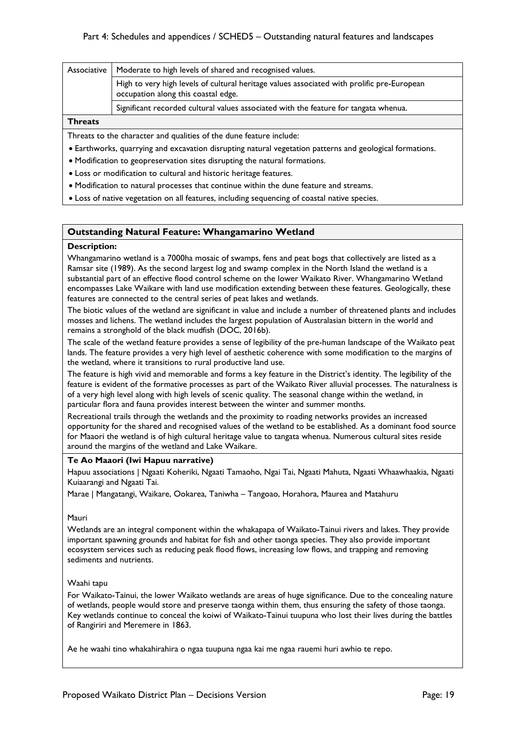|                | Associative   Moderate to high levels of shared and recognised values.                                                            |
|----------------|-----------------------------------------------------------------------------------------------------------------------------------|
|                | High to very high levels of cultural heritage values associated with prolific pre-European<br>occupation along this coastal edge. |
|                | Significant recorded cultural values associated with the feature for tangata whenua.                                              |
| <b>Threats</b> |                                                                                                                                   |

### Threats to the character and qualities of the dune feature include:

- Earthworks, quarrying and excavation disrupting natural vegetation patterns and geological formations.
- Modification to geopreservation sites disrupting the natural formations.
- Loss or modification to cultural and historic heritage features.
- Modification to natural processes that continue within the dune feature and streams.
- Loss of native vegetation on all features, including sequencing of coastal native species.

### **Outstanding Natural Feature: Whangamarino Wetland**

### **Description:**

Whangamarino wetland is a 7000ha mosaic of swamps, fens and peat bogs that collectively are listed as a Ramsar site (1989). As the second largest log and swamp complex in the North Island the wetland is a substantial part of an effective flood control scheme on the lower Waikato River. Whangamarino Wetland encompasses Lake Waikare with land use modification extending between these features. Geologically, these features are connected to the central series of peat lakes and wetlands.

The biotic values of the wetland are significant in value and include a number of threatened plants and includes mosses and lichens. The wetland includes the largest population of Australasian bittern in the world and remains a stronghold of the black mudfish (DOC, 2016b).

The scale of the wetland feature provides a sense of legibility of the pre-human landscape of the Waikato peat lands. The feature provides a very high level of aesthetic coherence with some modification to the margins of the wetland, where it transitions to rural productive land use.

The feature is high vivid and memorable and forms a key feature in the District's identity. The legibility of the feature is evident of the formative processes as part of the Waikato River alluvial processes. The naturalness is of a very high level along with high levels of scenic quality. The seasonal change within the wetland, in particular flora and fauna provides interest between the winter and summer months.

Recreational trails through the wetlands and the proximity to roading networks provides an increased opportunity for the shared and recognised values of the wetland to be established. As a dominant food source for Maaori the wetland is of high cultural heritage value to tangata whenua. Numerous cultural sites reside around the margins of the wetland and Lake Waikare.

### **Te Ao Maaori (Iwi Hapuu narrative)**

Hapuu associations | Ngaati Koheriki, Ngaati Tamaoho, Ngai Tai, Ngaati Mahuta, Ngaati Whaawhaakia, Ngaati Kuiaarangi and Ngaati Tai.

Marae | Mangatangi, Waikare, Ookarea, Taniwha – Tangoao, Horahora, Maurea and Matahuru

### Mauri

Wetlands are an integral component within the whakapapa of Waikato-Tainui rivers and lakes. They provide important spawning grounds and habitat for fish and other taonga species. They also provide important ecosystem services such as reducing peak flood flows, increasing low flows, and trapping and removing sediments and nutrients.

### Waahi tapu

For Waikato-Tainui, the lower Waikato wetlands are areas of huge significance. Due to the concealing nature of wetlands, people would store and preserve taonga within them, thus ensuring the safety of those taonga. Key wetlands continue to conceal the koiwi of Waikato-Tainui tuupuna who lost their lives during the battles of Rangiriri and Meremere in 1863.

Ae he waahi tino whakahirahira o ngaa tuupuna ngaa kai me ngaa rauemi huri awhio te repo.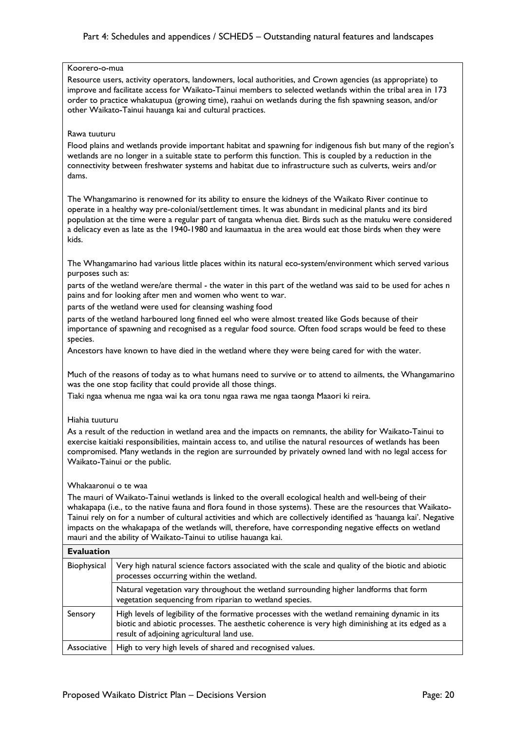### Koorero-o-mua

Resource users, activity operators, landowners, local authorities, and Crown agencies (as appropriate) to improve and facilitate access for Waikato-Tainui members to selected wetlands within the tribal area in 173 order to practice whakatupua (growing time), raahui on wetlands during the fish spawning season, and/or other Waikato-Tainui hauanga kai and cultural practices.

### Rawa tuuturu

Flood plains and wetlands provide important habitat and spawning for indigenous fish but many of the region's wetlands are no longer in a suitable state to perform this function. This is coupled by a reduction in the connectivity between freshwater systems and habitat due to infrastructure such as culverts, weirs and/or dams.

The Whangamarino is renowned for its ability to ensure the kidneys of the Waikato River continue to operate in a healthy way pre-colonial/settlement times. It was abundant in medicinal plants and its bird population at the time were a regular part of tangata whenua diet. Birds such as the matuku were considered a delicacy even as late as the 1940-1980 and kaumaatua in the area would eat those birds when they were kids.

The Whangamarino had various little places within its natural eco-system/environment which served various purposes such as:

parts of the wetland were/are thermal - the water in this part of the wetland was said to be used for aches n pains and for looking after men and women who went to war.

parts of the wetland were used for cleansing washing food

parts of the wetland harboured long finned eel who were almost treated like Gods because of their importance of spawning and recognised as a regular food source. Often food scraps would be feed to these species.

Ancestors have known to have died in the wetland where they were being cared for with the water.

Much of the reasons of today as to what humans need to survive or to attend to ailments, the Whangamarino was the one stop facility that could provide all those things.

Tiaki ngaa whenua me ngaa wai ka ora tonu ngaa rawa me ngaa taonga Maaori ki reira.

### Hiahia tuuturu

As a result of the reduction in wetland area and the impacts on remnants, the ability for Waikato-Tainui to exercise kaitiaki responsibilities, maintain access to, and utilise the natural resources of wetlands has been compromised. Many wetlands in the region are surrounded by privately owned land with no legal access for Waikato-Tainui or the public.

### Whakaaronui o te waa

The mauri of Waikato-Tainui wetlands is linked to the overall ecological health and well-being of their whakapapa (i.e., to the native fauna and flora found in those systems). These are the resources that Waikato-Tainui rely on for a number of cultural activities and which are collectively identified as 'hauanga kai'. Negative impacts on the whakapapa of the wetlands will, therefore, have corresponding negative effects on wetland mauri and the ability of Waikato-Tainui to utilise hauanga kai.

| <b>Evaluation</b> |                                                                                                                                                                                                                                                  |
|-------------------|--------------------------------------------------------------------------------------------------------------------------------------------------------------------------------------------------------------------------------------------------|
| Biophysical       | Very high natural science factors associated with the scale and quality of the biotic and abiotic<br>processes occurring within the wetland.                                                                                                     |
|                   | Natural vegetation vary throughout the wetland surrounding higher landforms that form<br>vegetation sequencing from riparian to wetland species.                                                                                                 |
| Sensory           | High levels of legibility of the formative processes with the wetland remaining dynamic in its<br>biotic and abiotic processes. The aesthetic coherence is very high diminishing at its edged as a<br>result of adjoining agricultural land use. |
| Associative       | High to very high levels of shared and recognised values.                                                                                                                                                                                        |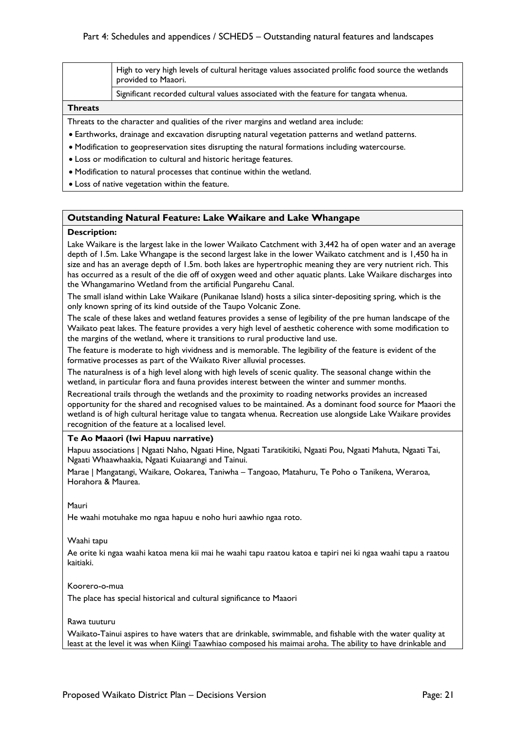| High to very high levels of cultural heritage values associated prolific food source the wetlands |
|---------------------------------------------------------------------------------------------------|
| provided to Maaori.                                                                               |

Significant recorded cultural values associated with the feature for tangata whenua.

### **Threats**

Threats to the character and qualities of the river margins and wetland area include:

- Earthworks, drainage and excavation disrupting natural vegetation patterns and wetland patterns.
- Modification to geopreservation sites disrupting the natural formations including watercourse.
- Loss or modification to cultural and historic heritage features.
- Modification to natural processes that continue within the wetland.
- Loss of native vegetation within the feature.

### **Outstanding Natural Feature: Lake Waikare and Lake Whangape**

#### **Description:**

Lake Waikare is the largest lake in the lower Waikato Catchment with 3,442 ha of open water and an average depth of 1.5m. Lake Whangape is the second largest lake in the lower Waikato catchment and is 1,450 ha in size and has an average depth of 1.5m. both lakes are hypertrophic meaning they are very nutrient rich. This has occurred as a result of the die off of oxygen weed and other aquatic plants. Lake Waikare discharges into the Whangamarino Wetland from the artificial Pungarehu Canal.

The small island within Lake Waikare (Punikanae Island) hosts a silica sinter-depositing spring, which is the only known spring of its kind outside of the Taupo Volcanic Zone.

The scale of these lakes and wetland features provides a sense of legibility of the pre human landscape of the Waikato peat lakes. The feature provides a very high level of aesthetic coherence with some modification to the margins of the wetland, where it transitions to rural productive land use.

The feature is moderate to high vividness and is memorable. The legibility of the feature is evident of the formative processes as part of the Waikato River alluvial processes.

The naturalness is of a high level along with high levels of scenic quality. The seasonal change within the wetland, in particular flora and fauna provides interest between the winter and summer months.

Recreational trails through the wetlands and the proximity to roading networks provides an increased opportunity for the shared and recognised values to be maintained. As a dominant food source for Maaori the wetland is of high cultural heritage value to tangata whenua. Recreation use alongside Lake Waikare provides recognition of the feature at a localised level.

### **Te Ao Maaori (Iwi Hapuu narrative)**

Hapuu associations | Ngaati Naho, Ngaati Hine, Ngaati Taratikitiki, Ngaati Pou, Ngaati Mahuta, Ngaati Tai, Ngaati Whaawhaakia, Ngaati Kuiaarangi and Tainui.

Marae | Mangatangi, Waikare, Ookarea, Taniwha – Tangoao, Matahuru, Te Poho o Tanikena, Weraroa, Horahora & Maurea.

#### Mauri

He waahi motuhake mo ngaa hapuu e noho huri aawhio ngaa roto.

#### Waahi tapu

Ae orite ki ngaa waahi katoa mena kii mai he waahi tapu raatou katoa e tapiri nei ki ngaa waahi tapu a raatou kaitiaki.

#### Koorero-o-mua

The place has special historical and cultural significance to Maaori

### Rawa tuuturu

Waikato-Tainui aspires to have waters that are drinkable, swimmable, and fishable with the water quality at least at the level it was when Kiingi Taawhiao composed his maimai aroha. The ability to have drinkable and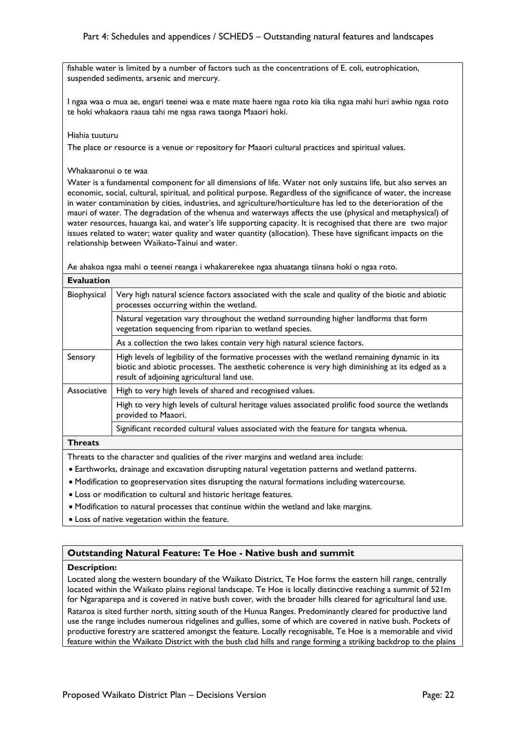fishable water is limited by a number of factors such as the concentrations of E. coli, eutrophication, suspended sediments, arsenic and mercury.

I ngaa waa o mua ae, engari teenei waa e mate mate haere ngaa roto kia tika ngaa mahi huri awhio ngaa roto te hoki whakaora raaua tahi me ngaa rawa taonga Maaori hoki.

#### Hiahia tuuturu

The place or resource is a venue or repository for Maaori cultural practices and spiritual values.

### Whakaaronui o te waa

Water is a fundamental component for all dimensions of life. Water not only sustains life, but also serves an economic, social, cultural, spiritual, and political purpose. Regardless of the significance of water, the increase in water contamination by cities, industries, and agriculture/horticulture has led to the deterioration of the mauri of water. The degradation of the whenua and waterways affects the use (physical and metaphysical) of water resources, hauanga kai, and water's life supporting capacity. It is recognised that there are two major issues related to water; water quality and water quantity (allocation). These have significant impacts on the relationship between Waikato-Tainui and water.

Ae ahakoa ngaa mahi o teenei reanga i whakarerekee ngaa ahuatanga tiinana hoki o ngaa roto.

| <b>Evaluation</b> |                                                                                                                                                                                                                                                  |  |
|-------------------|--------------------------------------------------------------------------------------------------------------------------------------------------------------------------------------------------------------------------------------------------|--|
| Biophysical       | Very high natural science factors associated with the scale and quality of the biotic and abiotic<br>processes occurring within the wetland.                                                                                                     |  |
|                   | Natural vegetation vary throughout the wetland surrounding higher landforms that form<br>vegetation sequencing from riparian to wetland species.                                                                                                 |  |
|                   | As a collection the two lakes contain very high natural science factors.                                                                                                                                                                         |  |
| Sensory           | High levels of legibility of the formative processes with the wetland remaining dynamic in its<br>biotic and abiotic processes. The aesthetic coherence is very high diminishing at its edged as a<br>result of adjoining agricultural land use. |  |
| Associative       | High to very high levels of shared and recognised values.                                                                                                                                                                                        |  |
|                   | High to very high levels of cultural heritage values associated prolific food source the wetlands<br>provided to Maaori.                                                                                                                         |  |
|                   | Significant recorded cultural values associated with the feature for tangata whenua.                                                                                                                                                             |  |
| <b>Threats</b>    |                                                                                                                                                                                                                                                  |  |
|                   |                                                                                                                                                                                                                                                  |  |

Threats to the character and qualities of the river margins and wetland area include:

- Earthworks, drainage and excavation disrupting natural vegetation patterns and wetland patterns.
- Modification to geopreservation sites disrupting the natural formations including watercourse.
- Loss or modification to cultural and historic heritage features.
- Modification to natural processes that continue within the wetland and lake margins.
- Loss of native vegetation within the feature.

### **Outstanding Natural Feature: Te Hoe - Native bush and summit**

#### **Description:**

Located along the western boundary of the Waikato District, Te Hoe forms the eastern hill range, centrally located within the Waikato plains regional landscape. Te Hoe is locally distinctive reaching a summit of 521m for Ngaraparepa and is covered in native bush cover, with the broader hills cleared for agricultural land use. Rataroa is sited further north, sitting south of the Hunua Ranges. Predominantly cleared for productive land use the range includes numerous ridgelines and gullies, some of which are covered in native bush. Pockets of productive forestry are scattered amongst the feature. Locally recognisable, Te Hoe is a memorable and vivid feature within the Waikato District with the bush clad hills and range forming a striking backdrop to the plains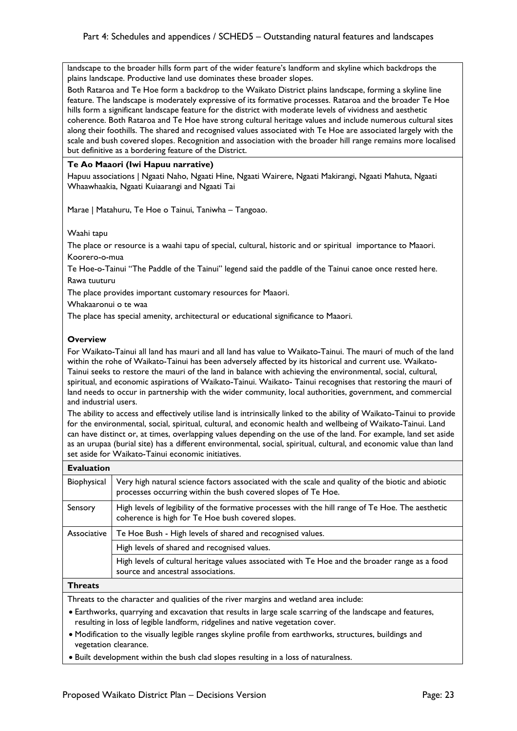landscape to the broader hills form part of the wider feature's landform and skyline which backdrops the plains landscape. Productive land use dominates these broader slopes.

Both Rataroa and Te Hoe form a backdrop to the Waikato District plains landscape, forming a skyline line feature. The landscape is moderately expressive of its formative processes. Rataroa and the broader Te Hoe hills form a significant landscape feature for the district with moderate levels of vividness and aesthetic coherence. Both Rataroa and Te Hoe have strong cultural heritage values and include numerous cultural sites along their foothills. The shared and recognised values associated with Te Hoe are associated largely with the scale and bush covered slopes. Recognition and association with the broader hill range remains more localised but definitive as a bordering feature of the District.

### **Te Ao Maaori (Iwi Hapuu narrative)**

Hapuu associations | Ngaati Naho, Ngaati Hine, Ngaati Wairere, Ngaati Makirangi, Ngaati Mahuta, Ngaati Whaawhaakia, Ngaati Kuiaarangi and Ngaati Tai

Marae | Matahuru, Te Hoe o Tainui, Taniwha – Tangoao.

Waahi tapu

The place or resource is a waahi tapu of special, cultural, historic and or spiritual importance to Maaori. Koorero-o-mua

Te Hoe-o-Tainui "The Paddle of the Tainui" legend said the paddle of the Tainui canoe once rested here. Rawa tuuturu

The place provides important customary resources for Maaori.

Whakaaronui o te waa

The place has special amenity, architectural or educational significance to Maaori.

### **Overview**

For Waikato-Tainui all land has mauri and all land has value to Waikato-Tainui. The mauri of much of the land within the rohe of Waikato-Tainui has been adversely affected by its historical and current use. Waikato-Tainui seeks to restore the mauri of the land in balance with achieving the environmental, social, cultural, spiritual, and economic aspirations of Waikato-Tainui. Waikato- Tainui recognises that restoring the mauri of land needs to occur in partnership with the wider community, local authorities, government, and commercial and industrial users.

The ability to access and effectively utilise land is intrinsically linked to the ability of Waikato-Tainui to provide for the environmental, social, spiritual, cultural, and economic health and wellbeing of Waikato-Tainui. Land can have distinct or, at times, overlapping values depending on the use of the land. For example, land set aside as an urupaa (burial site) has a different environmental, social, spiritual, cultural, and economic value than land set aside for Waikato-Tainui economic initiatives.

| <b>Evaluation</b> |                                                                                                                                                                    |
|-------------------|--------------------------------------------------------------------------------------------------------------------------------------------------------------------|
| Biophysical       | Very high natural science factors associated with the scale and quality of the biotic and abiotic<br>processes occurring within the bush covered slopes of Te Hoe. |
| Sensory           | High levels of legibility of the formative processes with the hill range of Te Hoe. The aesthetic<br>coherence is high for Te Hoe bush covered slopes.             |
| Associative       | Te Hoe Bush - High levels of shared and recognised values.                                                                                                         |
|                   | High levels of shared and recognised values.                                                                                                                       |
|                   | High levels of cultural heritage values associated with Te Hoe and the broader range as a food<br>source and ancestral associations.                               |
| <b>Throats</b>    |                                                                                                                                                                    |

**Threats**

Threats to the character and qualities of the river margins and wetland area include:

- Earthworks, quarrying and excavation that results in large scale scarring of the landscape and features, resulting in loss of legible landform, ridgelines and native vegetation cover.
- Modification to the visually legible ranges skyline profile from earthworks, structures, buildings and vegetation clearance.
- Built development within the bush clad slopes resulting in a loss of naturalness.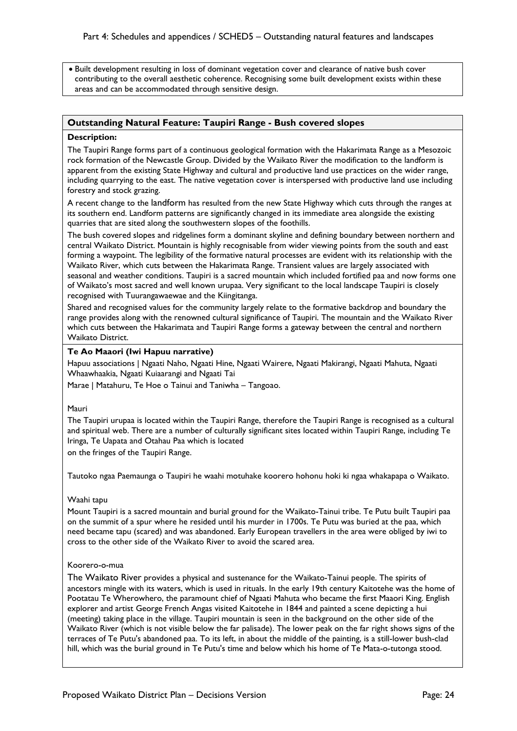• Built development resulting in loss of dominant vegetation cover and clearance of native bush cover contributing to the overall aesthetic coherence. Recognising some built development exists within these areas and can be accommodated through sensitive design.

### **Outstanding Natural Feature: Taupiri Range - Bush covered slopes**

### **Description:**

The Taupiri Range forms part of a continuous geological formation with the Hakarimata Range as a Mesozoic rock formation of the Newcastle Group. Divided by the Waikato River the modification to the landform is apparent from the existing State Highway and cultural and productive land use practices on the wider range, including quarrying to the east. The native vegetation cover is interspersed with productive land use including forestry and stock grazing.

A recent change to the landform has resulted from the new State Highway which cuts through the ranges at its southern end. Landform patterns are significantly changed in its immediate area alongside the existing quarries that are sited along the southwestern slopes of the foothills.

The bush covered slopes and ridgelines form a dominant skyline and defining boundary between northern and central Waikato District. Mountain is highly recognisable from wider viewing points from the south and east forming a waypoint. The legibility of the formative natural processes are evident with its relationship with the Waikato River, which cuts between the Hakarimata Range. Transient values are largely associated with seasonal and weather conditions. Taupiri is a sacred mountain which included fortified paa and now forms one of Waikato's most sacred and well known urupaa. Very significant to the local landscape Taupiri is closely recognised with Tuurangawaewae and the Kiingitanga.

Shared and recognised values for the community largely relate to the formative backdrop and boundary the range provides along with the renowned cultural significance of Taupiri. The mountain and the Waikato River which cuts between the Hakarimata and Taupiri Range forms a gateway between the central and northern Waikato District.

### **Te Ao Maaori (Iwi Hapuu narrative)**

Hapuu associations | Ngaati Naho, Ngaati Hine, Ngaati Wairere, Ngaati Makirangi, Ngaati Mahuta, Ngaati Whaawhaakia, Ngaati Kuiaarangi and Ngaati Tai

Marae | Matahuru, Te Hoe o Tainui and Taniwha – Tangoao.

### Mauri

The Taupiri urupaa is located within the Taupiri Range, therefore the Taupiri Range is recognised as a cultural and spiritual web. There are a number of culturally significant sites located within Taupiri Range, including Te Iringa, Te Uapata and Otahau Paa which is located

on the fringes of the Taupiri Range.

Tautoko ngaa Paemaunga o Taupiri he waahi motuhake koorero hohonu hoki ki ngaa whakapapa o Waikato.

### Waahi tapu

Mount Taupiri is a sacred mountain and burial ground for the Waikato-Tainui tribe. Te Putu built Taupiri paa on the summit of a spur where he resided until his murder in 1700s. Te Putu was buried at the paa, which need became tapu (scared) and was abandoned. Early European travellers in the area were obliged by iwi to cross to the other side of the Waikato River to avoid the scared area.

### Koorero-o-mua

The Waikato River provides a physical and sustenance for the Waikato-Tainui people. The spirits of ancestors mingle with its waters, which is used in rituals. In the early 19th century Kaitotehe was the home of Pootatau Te Wherowhero, the paramount chief of Ngaati Mahuta who became the first Maaori King. English explorer and artist George French Angas visited Kaitotehe in 1844 and painted a scene depicting a hui (meeting) taking place in the village. Taupiri mountain is seen in the background on the other side of the Waikato River (which is not visible below the far palisade). The lower peak on the far right shows signs of the terraces of Te Putu's abandoned paa. To its left, in about the middle of the painting, is a still-lower bush-clad hill, which was the burial ground in Te Putu's time and below which his home of Te Mata-o-tutonga stood.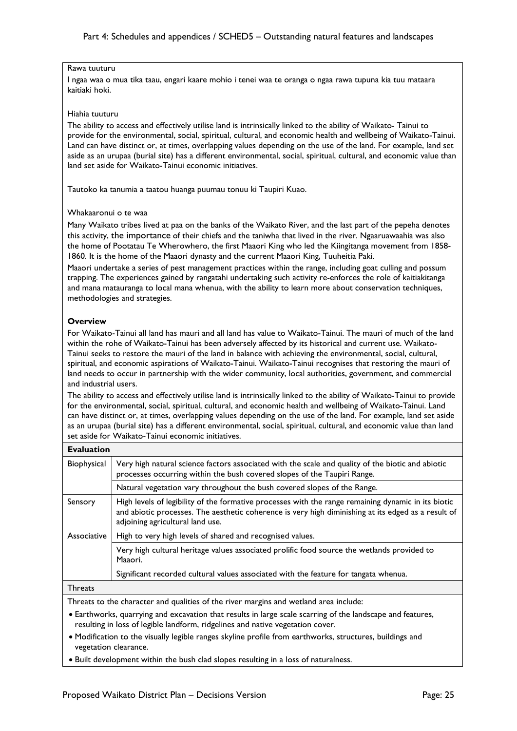### Rawa tuuturu

I ngaa waa o mua tika taau, engari kaare mohio i tenei waa te oranga o ngaa rawa tupuna kia tuu mataara kaitiaki hoki.

### Hiahia tuuturu

The ability to access and effectively utilise land is intrinsically linked to the ability of Waikato- Tainui to provide for the environmental, social, spiritual, cultural, and economic health and wellbeing of Waikato-Tainui. Land can have distinct or, at times, overlapping values depending on the use of the land. For example, land set aside as an urupaa (burial site) has a different environmental, social, spiritual, cultural, and economic value than land set aside for Waikato-Tainui economic initiatives.

Tautoko ka tanumia a taatou huanga puumau tonuu ki Taupiri Kuao.

### Whakaaronui o te waa

Many Waikato tribes lived at paa on the banks of the Waikato River, and the last part of the pepeha denotes this activity, the importance of their chiefs and the taniwha that lived in the river. Ngaaruawaahia was also the home of Pootatau Te Wherowhero, the first Maaori King who led the Kiingitanga movement from 1858- 1860. It is the home of the Maaori dynasty and the current Maaori King, Tuuheitia Paki.

Maaori undertake a series of pest management practices within the range, including goat culling and possum trapping. The experiences gained by rangatahi undertaking such activity re-enforces the role of kaitiakitanga and mana matauranga to local mana whenua, with the ability to learn more about conservation techniques, methodologies and strategies.

### **Overview**

For Waikato-Tainui all land has mauri and all land has value to Waikato-Tainui. The mauri of much of the land within the rohe of Waikato-Tainui has been adversely affected by its historical and current use. Waikato-Tainui seeks to restore the mauri of the land in balance with achieving the environmental, social, cultural, spiritual, and economic aspirations of Waikato-Tainui. Waikato-Tainui recognises that restoring the mauri of land needs to occur in partnership with the wider community, local authorities, government, and commercial and industrial users.

The ability to access and effectively utilise land is intrinsically linked to the ability of Waikato-Tainui to provide for the environmental, social, spiritual, cultural, and economic health and wellbeing of Waikato-Tainui. Land can have distinct or, at times, overlapping values depending on the use of the land. For example, land set aside as an urupaa (burial site) has a different environmental, social, spiritual, cultural, and economic value than land set aside for Waikato-Tainui economic initiatives.

| <b>Evaluation</b> |                                                                                                                                                                                                                                                |
|-------------------|------------------------------------------------------------------------------------------------------------------------------------------------------------------------------------------------------------------------------------------------|
| Biophysical       | Very high natural science factors associated with the scale and quality of the biotic and abiotic<br>processes occurring within the bush covered slopes of the Taupiri Range.                                                                  |
|                   | Natural vegetation vary throughout the bush covered slopes of the Range.                                                                                                                                                                       |
| Sensory           | High levels of legibility of the formative processes with the range remaining dynamic in its biotic<br>and abiotic processes. The aesthetic coherence is very high diminishing at its edged as a result of<br>adjoining agricultural land use. |
| Associative       | High to very high levels of shared and recognised values.                                                                                                                                                                                      |
|                   | Very high cultural heritage values associated prolific food source the wetlands provided to<br>Maaori.                                                                                                                                         |
|                   | Significant recorded cultural values associated with the feature for tangata whenua.                                                                                                                                                           |
| <b>Threats</b>    |                                                                                                                                                                                                                                                |

Threats to the character and qualities of the river margins and wetland area include:

• Earthworks, quarrying and excavation that results in large scale scarring of the landscape and features, resulting in loss of legible landform, ridgelines and native vegetation cover.

- Modification to the visually legible ranges skyline profile from earthworks, structures, buildings and vegetation clearance.
- Built development within the bush clad slopes resulting in a loss of naturalness.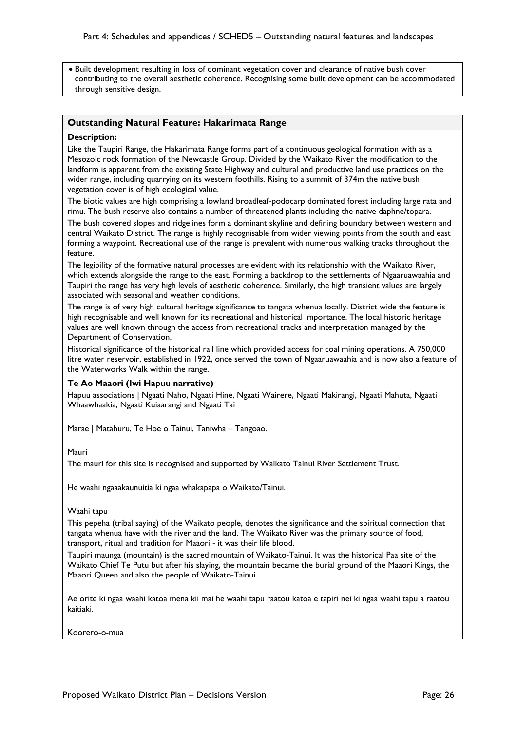• Built development resulting in loss of dominant vegetation cover and clearance of native bush cover contributing to the overall aesthetic coherence. Recognising some built development can be accommodated through sensitive design.

### **Outstanding Natural Feature: Hakarimata Range**

### **Description:**

Like the Taupiri Range, the Hakarimata Range forms part of a continuous geological formation with as a Mesozoic rock formation of the Newcastle Group. Divided by the Waikato River the modification to the landform is apparent from the existing State Highway and cultural and productive land use practices on the wider range, including quarrying on its western foothills. Rising to a summit of 374m the native bush vegetation cover is of high ecological value.

The biotic values are high comprising a lowland broadleaf-podocarp dominated forest including large rata and rimu. The bush reserve also contains a number of threatened plants including the native daphne/topara.

The bush covered slopes and ridgelines form a dominant skyline and defining boundary between western and central Waikato District. The range is highly recognisable from wider viewing points from the south and east forming a waypoint. Recreational use of the range is prevalent with numerous walking tracks throughout the feature.

The legibility of the formative natural processes are evident with its relationship with the Waikato River, which extends alongside the range to the east. Forming a backdrop to the settlements of Ngaaruawaahia and Taupiri the range has very high levels of aesthetic coherence. Similarly, the high transient values are largely associated with seasonal and weather conditions.

The range is of very high cultural heritage significance to tangata whenua locally. District wide the feature is high recognisable and well known for its recreational and historical importance. The local historic heritage values are well known through the access from recreational tracks and interpretation managed by the Department of Conservation.

Historical significance of the historical rail line which provided access for coal mining operations. A 750,000 litre water reservoir, established in 1922, once served the town of Ngaaruawaahia and is now also a feature of the Waterworks Walk within the range.

### **Te Ao Maaori (Iwi Hapuu narrative)**

Hapuu associations | Ngaati Naho, Ngaati Hine, Ngaati Wairere, Ngaati Makirangi, Ngaati Mahuta, Ngaati Whaawhaakia, Ngaati Kuiaarangi and Ngaati Tai

Marae | Matahuru, Te Hoe o Tainui, Taniwha – Tangoao.

#### Mauri

The mauri for this site is recognised and supported by Waikato Tainui River Settlement Trust.

He waahi ngaaakaunuitia ki ngaa whakapapa o Waikato/Tainui.

#### Waahi tapu

This pepeha (tribal saying) of the Waikato people, denotes the significance and the spiritual connection that tangata whenua have with the river and the land. The Waikato River was the primary source of food, transport, ritual and tradition for Maaori - it was their life blood.

Taupiri maunga (mountain) is the sacred mountain of Waikato-Tainui. It was the historical Paa site of the Waikato Chief Te Putu but after his slaying, the mountain became the burial ground of the Maaori Kings, the Maaori Queen and also the people of Waikato-Tainui.

Ae orite ki ngaa waahi katoa mena kii mai he waahi tapu raatou katoa e tapiri nei ki ngaa waahi tapu a raatou kaitiaki.

Koorero-o-mua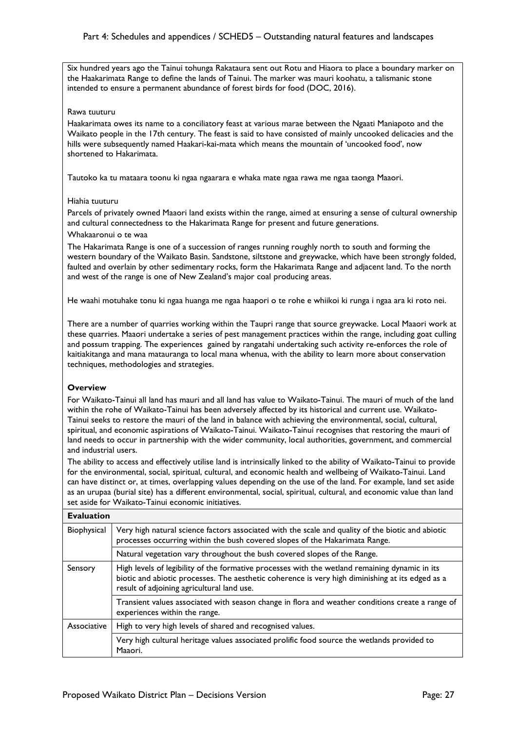Six hundred years ago the Tainui tohunga Rakataura sent out Rotu and Hiaora to place a boundary marker on the Haakarimata Range to define the lands of Tainui. The marker was mauri koohatu, a talismanic stone intended to ensure a permanent abundance of forest birds for food (DOC, 2016).

### Rawa tuuturu

Haakarimata owes its name to a conciliatory feast at various marae between the Ngaati Maniapoto and the Waikato people in the 17th century. The feast is said to have consisted of mainly uncooked delicacies and the hills were subsequently named Haakari-kai-mata which means the mountain of 'uncooked food', now shortened to Hakarimata.

Tautoko ka tu mataara toonu ki ngaa ngaarara e whaka mate ngaa rawa me ngaa taonga Maaori.

### Hiahia tuuturu

Parcels of privately owned Maaori land exists within the range, aimed at ensuring a sense of cultural ownership and cultural connectedness to the Hakarimata Range for present and future generations.

### Whakaaronui o te waa

The Hakarimata Range is one of a succession of ranges running roughly north to south and forming the western boundary of the Waikato Basin. Sandstone, siltstone and greywacke, which have been strongly folded, faulted and overlain by other sedimentary rocks, form the Hakarimata Range and adjacent land. To the north and west of the range is one of New Zealand's major coal producing areas.

He waahi motuhake tonu ki ngaa huanga me ngaa haapori o te rohe e whiikoi ki runga i ngaa ara ki roto nei.

There are a number of quarries working within the Taupri range that source greywacke. Local Maaori work at these quarries. Maaori undertake a series of pest management practices within the range, including goat culling and possum trapping. The experiences gained by rangatahi undertaking such activity re-enforces the role of kaitiakitanga and mana matauranga to local mana whenua, with the ability to learn more about conservation techniques, methodologies and strategies.

### **Overview**

For Waikato-Tainui all land has mauri and all land has value to Waikato-Tainui. The mauri of much of the land within the rohe of Waikato-Tainui has been adversely affected by its historical and current use. Waikato-Tainui seeks to restore the mauri of the land in balance with achieving the environmental, social, cultural, spiritual, and economic aspirations of Waikato-Tainui. Waikato-Tainui recognises that restoring the mauri of land needs to occur in partnership with the wider community, local authorities, government, and commercial and industrial users.

The ability to access and effectively utilise land is intrinsically linked to the ability of Waikato-Tainui to provide for the environmental, social, spiritual, cultural, and economic health and wellbeing of Waikato-Tainui. Land can have distinct or, at times, overlapping values depending on the use of the land. For example, land set aside as an urupaa (burial site) has a different environmental, social, spiritual, cultural, and economic value than land set aside for Waikato-Tainui economic initiatives.

| <b>Evaluation</b> |                                                                                                                                                                                                                                                  |
|-------------------|--------------------------------------------------------------------------------------------------------------------------------------------------------------------------------------------------------------------------------------------------|
| Biophysical       | Very high natural science factors associated with the scale and quality of the biotic and abiotic<br>processes occurring within the bush covered slopes of the Hakarimata Range.                                                                 |
|                   | Natural vegetation vary throughout the bush covered slopes of the Range.                                                                                                                                                                         |
| Sensory           | High levels of legibility of the formative processes with the wetland remaining dynamic in its<br>biotic and abiotic processes. The aesthetic coherence is very high diminishing at its edged as a<br>result of adjoining agricultural land use. |
|                   | Transient values associated with season change in flora and weather conditions create a range of<br>experiences within the range.                                                                                                                |
| Associative       | High to very high levels of shared and recognised values.                                                                                                                                                                                        |
|                   | Very high cultural heritage values associated prolific food source the wetlands provided to<br>Maaori.                                                                                                                                           |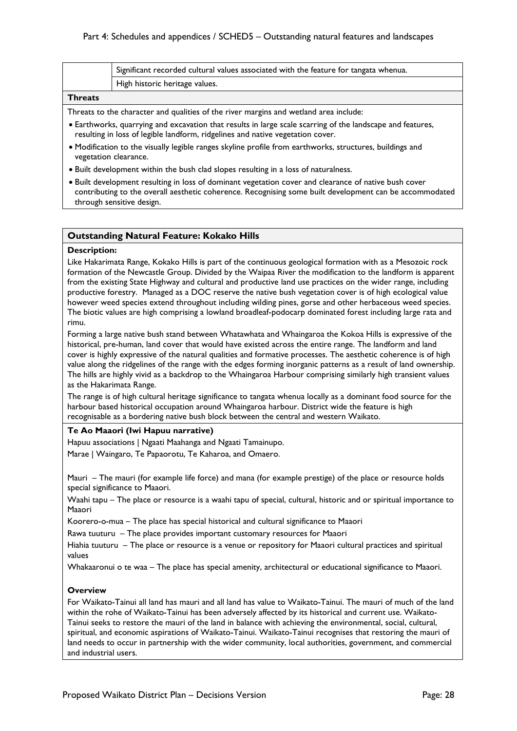|                                                                                       | Significant recorded cultural values associated with the feature for tangata whenua. |
|---------------------------------------------------------------------------------------|--------------------------------------------------------------------------------------|
|                                                                                       | High historic heritage values.                                                       |
| <b>Threats</b>                                                                        |                                                                                      |
| Threats to the character and qualities of the river margins and wetland area include: |                                                                                      |

- Earthworks, quarrying and excavation that results in large scale scarring of the landscape and features, resulting in loss of legible landform, ridgelines and native vegetation cover.
- Modification to the visually legible ranges skyline profile from earthworks, structures, buildings and vegetation clearance.
- Built development within the bush clad slopes resulting in a loss of naturalness.
- Built development resulting in loss of dominant vegetation cover and clearance of native bush cover contributing to the overall aesthetic coherence. Recognising some built development can be accommodated through sensitive design.

### **Outstanding Natural Feature: Kokako Hills**

### **Description:**

Like Hakarimata Range, Kokako Hills is part of the continuous geological formation with as a Mesozoic rock formation of the Newcastle Group. Divided by the Waipaa River the modification to the landform is apparent from the existing State Highway and cultural and productive land use practices on the wider range, including productive forestry. Managed as a DOC reserve the native bush vegetation cover is of high ecological value however weed species extend throughout including wilding pines, gorse and other herbaceous weed species. The biotic values are high comprising a lowland broadleaf-podocarp dominated forest including large rata and rimu.

Forming a large native bush stand between Whatawhata and Whaingaroa the Kokoa Hills is expressive of the historical, pre-human, land cover that would have existed across the entire range. The landform and land cover is highly expressive of the natural qualities and formative processes. The aesthetic coherence is of high value along the ridgelines of the range with the edges forming inorganic patterns as a result of land ownership. The hills are highly vivid as a backdrop to the Whaingaroa Harbour comprising similarly high transient values as the Hakarimata Range.

The range is of high cultural heritage significance to tangata whenua locally as a dominant food source for the harbour based historical occupation around Whaingaroa harbour. District wide the feature is high recognisable as a bordering native bush block between the central and western Waikato.

### **Te Ao Maaori (Iwi Hapuu narrative)**

Hapuu associations | Ngaati Maahanga and Ngaati Tamainupo. Marae | Waingaro, Te Papaorotu, Te Kaharoa, and Omaero.

Mauri – The mauri (for example life force) and mana (for example prestige) of the place or resource holds special significance to Maaori.

Waahi tapu – The place or resource is a waahi tapu of special, cultural, historic and or spiritual importance to Maaori

Koorero-o-mua – The place has special historical and cultural significance to Maaori

Rawa tuuturu – The place provides important customary resources for Maaori

Hiahia tuuturu – The place or resource is a venue or repository for Maaori cultural practices and spiritual values

Whakaaronui o te waa – The place has special amenity, architectural or educational significance to Maaori.

### **Overview**

For Waikato-Tainui all land has mauri and all land has value to Waikato-Tainui. The mauri of much of the land within the rohe of Waikato-Tainui has been adversely affected by its historical and current use. Waikato-Tainui seeks to restore the mauri of the land in balance with achieving the environmental, social, cultural, spiritual, and economic aspirations of Waikato-Tainui. Waikato-Tainui recognises that restoring the mauri of land needs to occur in partnership with the wider community, local authorities, government, and commercial and industrial users.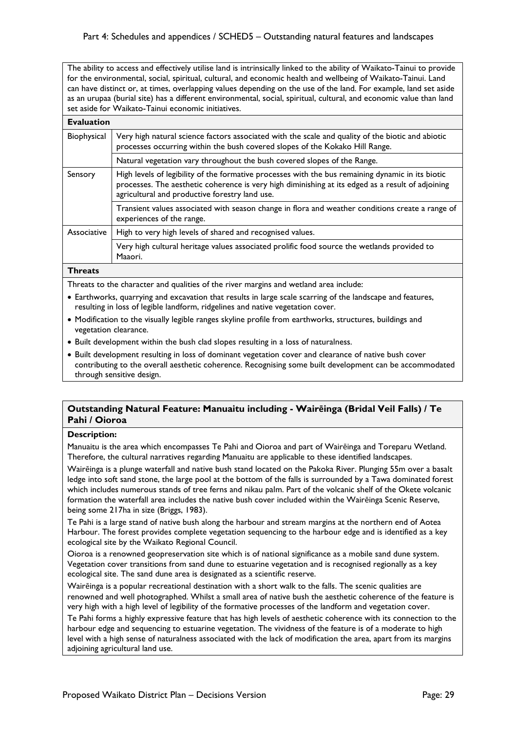The ability to access and effectively utilise land is intrinsically linked to the ability of Waikato-Tainui to provide for the environmental, social, spiritual, cultural, and economic health and wellbeing of Waikato-Tainui. Land can have distinct or, at times, overlapping values depending on the use of the land. For example, land set aside as an urupaa (burial site) has a different environmental, social, spiritual, cultural, and economic value than land set aside for Waikato-Tainui economic initiatives.

| <b>Evaluation</b> |                                                                                                                                                                                                                                                          |  |
|-------------------|----------------------------------------------------------------------------------------------------------------------------------------------------------------------------------------------------------------------------------------------------------|--|
| Biophysical       | Very high natural science factors associated with the scale and quality of the biotic and abiotic<br>processes occurring within the bush covered slopes of the Kokako Hill Range.                                                                        |  |
|                   | Natural vegetation vary throughout the bush covered slopes of the Range.                                                                                                                                                                                 |  |
| Sensory           | High levels of legibility of the formative processes with the bus remaining dynamic in its biotic<br>processes. The aesthetic coherence is very high diminishing at its edged as a result of adjoining<br>agricultural and productive forestry land use. |  |
|                   | Transient values associated with season change in flora and weather conditions create a range of<br>experiences of the range.                                                                                                                            |  |
| Associative       | High to very high levels of shared and recognised values.                                                                                                                                                                                                |  |
|                   | Very high cultural heritage values associated prolific food source the wetlands provided to<br>Maaori.                                                                                                                                                   |  |
|                   |                                                                                                                                                                                                                                                          |  |

### **Threats**

Threats to the character and qualities of the river margins and wetland area include:

- Earthworks, quarrying and excavation that results in large scale scarring of the landscape and features, resulting in loss of legible landform, ridgelines and native vegetation cover.
- Modification to the visually legible ranges skyline profile from earthworks, structures, buildings and vegetation clearance.
- Built development within the bush clad slopes resulting in a loss of naturalness.
- Built development resulting in loss of dominant vegetation cover and clearance of native bush cover contributing to the overall aesthetic coherence. Recognising some built development can be accommodated through sensitive design.

### **Outstanding Natural Feature: Manuaitu including - Wairēinga (Bridal Veil Falls) / Te Pahi / Oioroa**

### **Description:**

Manuaitu is the area which encompasses Te Pahi and Oioroa and part of Wairēinga and Toreparu Wetland. Therefore, the cultural narratives regarding Manuaitu are applicable to these identified landscapes.

Wairēinga is a plunge waterfall and native bush stand located on the Pakoka River. Plunging 55m over a basalt ledge into soft sand stone, the large pool at the bottom of the falls is surrounded by a Tawa dominated forest which includes numerous stands of tree ferns and nikau palm. Part of the volcanic shelf of the Okete volcanic formation the waterfall area includes the native bush cover included within the Wairēinga Scenic Reserve, being some 217ha in size (Briggs, 1983).

Te Pahi is a large stand of native bush along the harbour and stream margins at the northern end of Aotea Harbour. The forest provides complete vegetation sequencing to the harbour edge and is identified as a key ecological site by the Waikato Regional Council.

Oioroa is a renowned geopreservation site which is of national significance as a mobile sand dune system. Vegetation cover transitions from sand dune to estuarine vegetation and is recognised regionally as a key ecological site. The sand dune area is designated as a scientific reserve.

Wairēinga is a popular recreational destination with a short walk to the falls. The scenic qualities are renowned and well photographed. Whilst a small area of native bush the aesthetic coherence of the feature is very high with a high level of legibility of the formative processes of the landform and vegetation cover.

Te Pahi forms a highly expressive feature that has high levels of aesthetic coherence with its connection to the harbour edge and sequencing to estuarine vegetation. The vividness of the feature is of a moderate to high level with a high sense of naturalness associated with the lack of modification the area, apart from its margins adjoining agricultural land use.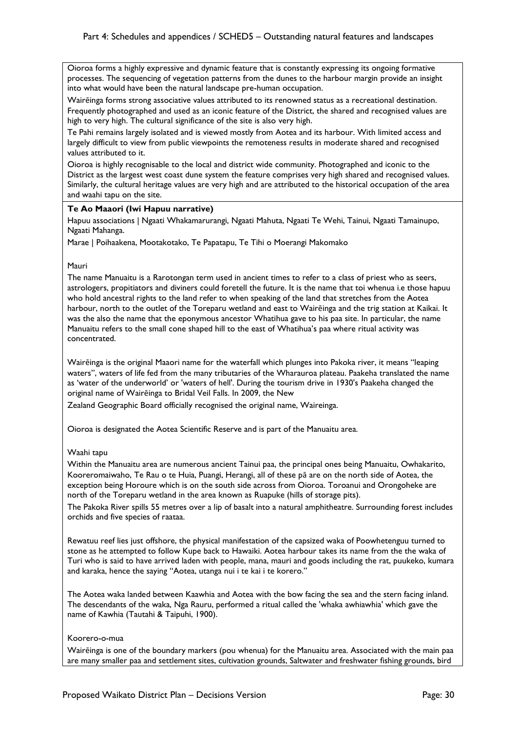Oioroa forms a highly expressive and dynamic feature that is constantly expressing its ongoing formative processes. The sequencing of vegetation patterns from the dunes to the harbour margin provide an insight into what would have been the natural landscape pre-human occupation.

Wairēinga forms strong associative values attributed to its renowned status as a recreational destination. Frequently photographed and used as an iconic feature of the District, the shared and recognised values are high to very high. The cultural significance of the site is also very high.

Te Pahi remains largely isolated and is viewed mostly from Aotea and its harbour. With limited access and largely difficult to view from public viewpoints the remoteness results in moderate shared and recognised values attributed to it.

Oioroa is highly recognisable to the local and district wide community. Photographed and iconic to the District as the largest west coast dune system the feature comprises very high shared and recognised values. Similarly, the cultural heritage values are very high and are attributed to the historical occupation of the area and waahi tapu on the site.

### **Te Ao Maaori (Iwi Hapuu narrative)**

Hapuu associations | Ngaati Whakamarurangi, Ngaati Mahuta, Ngaati Te Wehi, Tainui, Ngaati Tamainupo, Ngaati Mahanga.

Marae | Poihaakena, Mootakotako, Te Papatapu, Te Tihi o Moerangi Makomako

### Mauri

The name Manuaitu is a Rarotongan term used in ancient times to refer to a class of priest who as seers, astrologers, propitiators and diviners could foretell the future. It is the name that toi whenua i.e those hapuu who hold ancestral rights to the land refer to when speaking of the land that stretches from the Aotea harbour, north to the outlet of the Toreparu wetland and east to Wairēinga and the trig station at Kaikai. It was the also the name that the eponymous ancestor Whatihua gave to his paa site. In particular, the name Manuaitu refers to the small cone shaped hill to the east of Whatihua's paa where ritual activity was concentrated.

Wairēinga is the original Maaori name for the waterfall which plunges into Pakoka river, it means "leaping waters", waters of life fed from the many tributaries of the Wharauroa plateau. Paakeha translated the name as 'water of the underworld' or 'waters of hell'. During the tourism drive in 1930's Paakeha changed the original name of Wairēinga to Bridal Veil Falls. In 2009, the New

Zealand Geographic Board officially recognised the original name, Waireinga.

Oioroa is designated the Aotea Scientific Reserve and is part of the Manuaitu area.

### Waahi tapu

Within the Manuaitu area are numerous ancient Tainui paa, the principal ones being Manuaitu, Owhakarito, Kooreromaiwaho, Te Rau o te Huia, Puangi, Herangi, all of these pā are on the north side of Aotea, the exception being Horoure which is on the south side across from Oioroa. Toroanui and Orongoheke are north of the Toreparu wetland in the area known as Ruapuke (hills of storage pits).

The Pakoka River spills 55 metres over a lip of basalt into a natural amphitheatre. Surrounding forest includes orchids and five species of raataa.

Rewatuu reef lies just offshore, the physical manifestation of the capsized waka of Poowhetenguu turned to stone as he attempted to follow Kupe back to Hawaiki. Aotea harbour takes its name from the the waka of Turi who is said to have arrived laden with people, mana, mauri and goods including the rat, puukeko, kumara and karaka, hence the saying "Aotea, utanga nui i te kai i te korero."

The Aotea waka landed between Kaawhia and Aotea with the bow facing the sea and the stern facing inland. The descendants of the waka, Nga Rauru, performed a ritual called the 'whaka awhiawhia' which gave the name of Kawhia (Tautahi & Taipuhi, 1900).

### Koorero-o-mua

Wairēinga is one of the boundary markers (pou whenua) for the Manuaitu area. Associated with the main paa are many smaller paa and settlement sites, cultivation grounds, Saltwater and freshwater fishing grounds, bird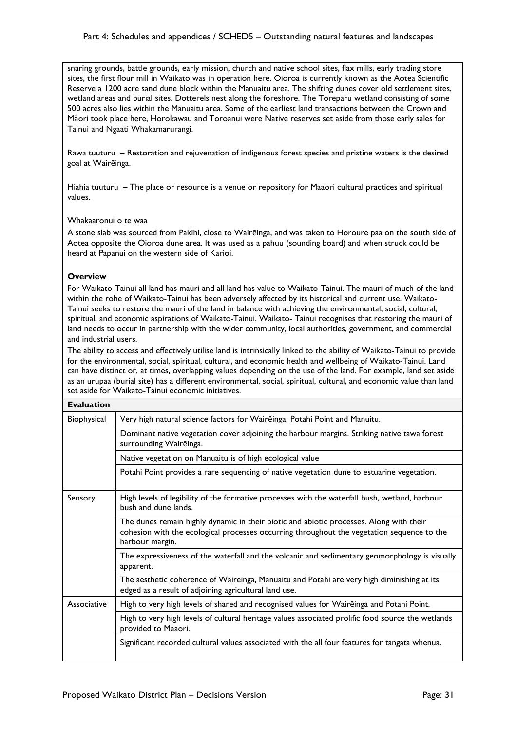snaring grounds, battle grounds, early mission, church and native school sites, flax mills, early trading store sites, the first flour mill in Waikato was in operation here. Oioroa is currently known as the Aotea Scientific Reserve a 1200 acre sand dune block within the Manuaitu area. The shifting dunes cover old settlement sites, wetland areas and burial sites. Dotterels nest along the foreshore. The Toreparu wetland consisting of some 500 acres also lies within the Manuaitu area. Some of the earliest land transactions between the Crown and Māori took place here, Horokawau and Toroanui were Native reserves set aside from those early sales for Tainui and Ngaati Whakamarurangi.

Rawa tuuturu – Restoration and rejuvenation of indigenous forest species and pristine waters is the desired goal at Wairēinga.

Hiahia tuuturu – The place or resource is a venue or repository for Maaori cultural practices and spiritual values.

### Whakaaronui o te waa

A stone slab was sourced from Pakihi, close to Wairēinga, and was taken to Horoure paa on the south side of Aotea opposite the Oioroa dune area. It was used as a pahuu (sounding board) and when struck could be heard at Papanui on the western side of Karioi.

### **Overview**

For Waikato-Tainui all land has mauri and all land has value to Waikato-Tainui. The mauri of much of the land within the rohe of Waikato-Tainui has been adversely affected by its historical and current use. Waikato-Tainui seeks to restore the mauri of the land in balance with achieving the environmental, social, cultural, spiritual, and economic aspirations of Waikato-Tainui. Waikato- Tainui recognises that restoring the mauri of land needs to occur in partnership with the wider community, local authorities, government, and commercial and industrial users.

The ability to access and effectively utilise land is intrinsically linked to the ability of Waikato-Tainui to provide for the environmental, social, spiritual, cultural, and economic health and wellbeing of Waikato-Tainui. Land can have distinct or, at times, overlapping values depending on the use of the land. For example, land set aside as an urupaa (burial site) has a different environmental, social, spiritual, cultural, and economic value than land set aside for Waikato-Tainui economic initiatives.

| <b>Evaluation</b> |                                                                                                                                                                                                          |
|-------------------|----------------------------------------------------------------------------------------------------------------------------------------------------------------------------------------------------------|
| Biophysical       | Very high natural science factors for Waireinga, Potahi Point and Manuitu.                                                                                                                               |
|                   | Dominant native vegetation cover adjoining the harbour margins. Striking native tawa forest<br>surrounding Waireinga.                                                                                    |
|                   | Native vegetation on Manuaitu is of high ecological value                                                                                                                                                |
|                   | Potahi Point provides a rare sequencing of native vegetation dune to estuarine vegetation.                                                                                                               |
| Sensory           | High levels of legibility of the formative processes with the waterfall bush, wetland, harbour<br>bush and dune lands.                                                                                   |
|                   | The dunes remain highly dynamic in their biotic and abiotic processes. Along with their<br>cohesion with the ecological processes occurring throughout the vegetation sequence to the<br>harbour margin. |
|                   | The expressiveness of the waterfall and the volcanic and sedimentary geomorphology is visually<br>apparent.                                                                                              |
|                   | The aesthetic coherence of Waireinga, Manuaitu and Potahi are very high diminishing at its<br>edged as a result of adjoining agricultural land use.                                                      |
| Associative       | High to very high levels of shared and recognised values for Waireinga and Potahi Point.                                                                                                                 |
|                   | High to very high levels of cultural heritage values associated prolific food source the wetlands<br>provided to Maaori.                                                                                 |
|                   | Significant recorded cultural values associated with the all four features for tangata whenua.                                                                                                           |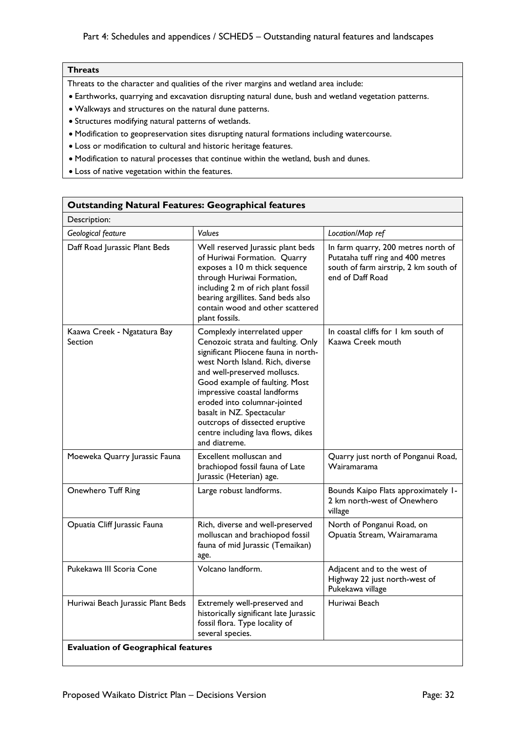## **Threats**

Threats to the character and qualities of the river margins and wetland area include:

- Earthworks, quarrying and excavation disrupting natural dune, bush and wetland vegetation patterns.
- Walkways and structures on the natural dune patterns.
- Structures modifying natural patterns of wetlands.
- Modification to geopreservation sites disrupting natural formations including watercourse.
- Loss or modification to cultural and historic heritage features.
- Modification to natural processes that continue within the wetland, bush and dunes.
- Loss of native vegetation within the features.

| <b>Outstanding Natural Features: Geographical features</b> |                                                                                                                                                                                                                                                                                                                                                                                                        |                                                                                                                                       |
|------------------------------------------------------------|--------------------------------------------------------------------------------------------------------------------------------------------------------------------------------------------------------------------------------------------------------------------------------------------------------------------------------------------------------------------------------------------------------|---------------------------------------------------------------------------------------------------------------------------------------|
| Description:                                               |                                                                                                                                                                                                                                                                                                                                                                                                        |                                                                                                                                       |
| Geological feature                                         | <b>Values</b>                                                                                                                                                                                                                                                                                                                                                                                          | Location/Map ref                                                                                                                      |
| Daff Road Jurassic Plant Beds                              | Well reserved Jurassic plant beds<br>of Huriwai Formation. Quarry<br>exposes a 10 m thick sequence<br>through Huriwai Formation,<br>including 2 m of rich plant fossil<br>bearing argillites. Sand beds also<br>contain wood and other scattered<br>plant fossils.                                                                                                                                     | In farm quarry, 200 metres north of<br>Putataha tuff ring and 400 metres<br>south of farm airstrip, 2 km south of<br>end of Daff Road |
| Kaawa Creek - Ngatatura Bay<br>Section                     | Complexly interrelated upper<br>Cenozoic strata and faulting. Only<br>significant Pliocene fauna in north-<br>west North Island. Rich, diverse<br>and well-preserved molluscs.<br>Good example of faulting. Most<br>impressive coastal landforms<br>eroded into columnar-jointed<br>basalt in NZ. Spectacular<br>outcrops of dissected eruptive<br>centre including lava flows, dikes<br>and diatreme. | In coastal cliffs for 1 km south of<br>Kaawa Creek mouth                                                                              |
| Moeweka Quarry Jurassic Fauna                              | Excellent molluscan and<br>brachiopod fossil fauna of Late<br>Jurassic (Heterian) age.                                                                                                                                                                                                                                                                                                                 | Quarry just north of Ponganui Road,<br>Wairamarama                                                                                    |
| Onewhero Tuff Ring                                         | Large robust landforms.                                                                                                                                                                                                                                                                                                                                                                                | Bounds Kaipo Flats approximately 1-<br>2 km north-west of Onewhero<br>village                                                         |
| Opuatia Cliff Jurassic Fauna                               | Rich, diverse and well-preserved<br>molluscan and brachiopod fossil<br>fauna of mid Jurassic (Temaikan)<br>age.                                                                                                                                                                                                                                                                                        | North of Ponganui Road, on<br>Opuatia Stream, Wairamarama                                                                             |
| Pukekawa III Scoria Cone                                   | Volcano landform.                                                                                                                                                                                                                                                                                                                                                                                      | Adjacent and to the west of<br>Highway 22 just north-west of<br>Pukekawa village                                                      |
| Huriwai Beach Jurassic Plant Beds                          | Extremely well-preserved and<br>historically significant late Jurassic<br>fossil flora. Type locality of<br>several species.                                                                                                                                                                                                                                                                           | Huriwai Beach                                                                                                                         |
| <b>Evaluation of Geographical features</b>                 |                                                                                                                                                                                                                                                                                                                                                                                                        |                                                                                                                                       |